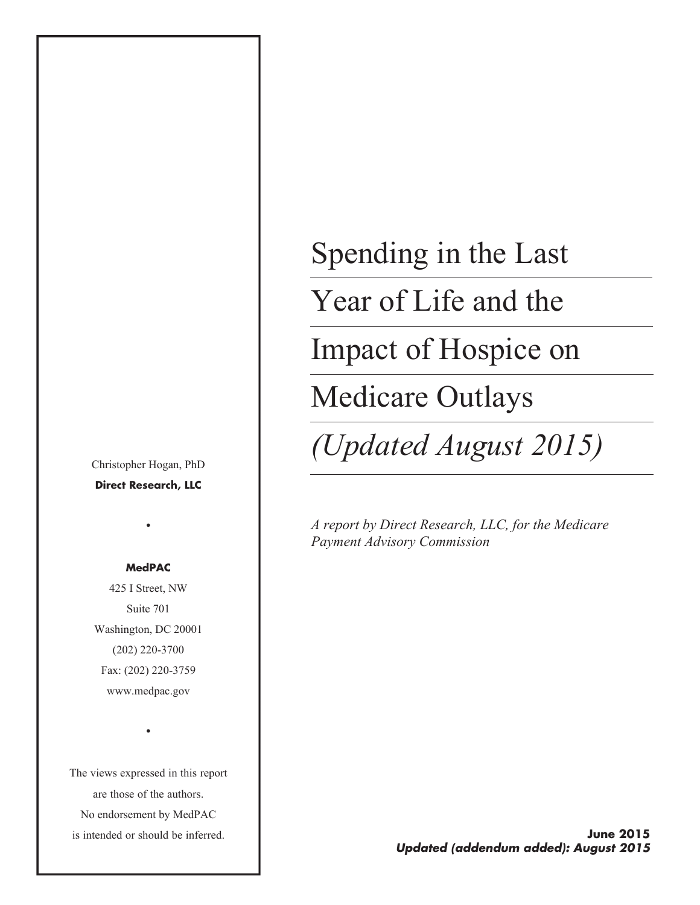Christopher Hogan, PhD **Direct Research, LLC**

#### **MedPAC**

•

425 I Street, NW Suite 701 Washington, DC 20001 (202) 220-3700 Fax: (202) 220-3759 www.medpac.gov

The views expressed in this report are those of the authors. No endorsement by MedPAC is intended or should be inferred.

•

Spending in the Last Year of Life and the Impact of Hospice on Medicare Outlays

*(Updated August 2015)*

*A report by Direct Research, LLC, for the Medicare Payment Advisory Commission*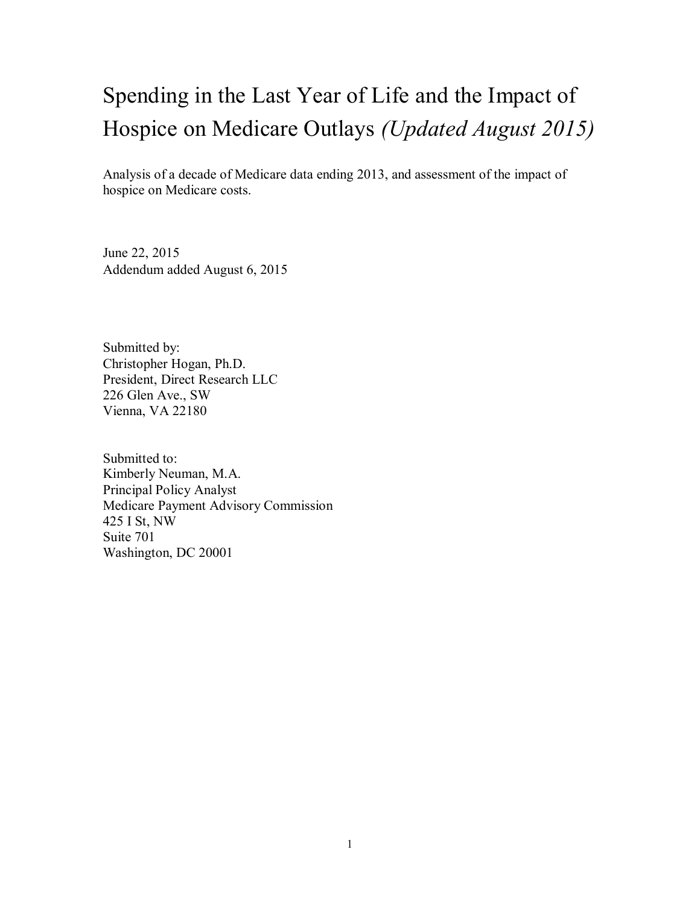# Spending in the Last Year of Life and the Impact of Hospice on Medicare Outlays *(Updated August 2015)*

Analysis of a decade of Medicare data ending 2013, and assessment of the impact of hospice on Medicare costs.

June 22, 2015 Addendum added August 6, 2015

Submitted by: Christopher Hogan, Ph.D. President, Direct Research LLC 226 Glen Ave., SW Vienna, VA 22180

Submitted to: Kimberly Neuman, M.A. Principal Policy Analyst Medicare Payment Advisory Commission 425 I St, NW Suite 701 Washington, DC 20001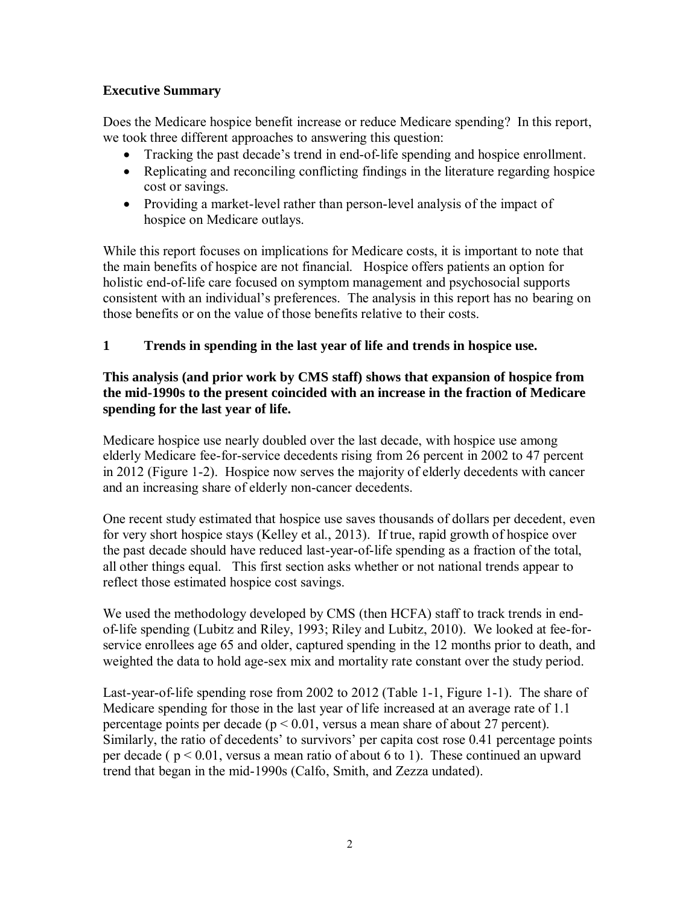# **Executive Summary**

Does the Medicare hospice benefit increase or reduce Medicare spending? In this report, we took three different approaches to answering this question:

- Tracking the past decade's trend in end-of-life spending and hospice enrollment.
- Replicating and reconciling conflicting findings in the literature regarding hospice cost or savings.
- Providing a market-level rather than person-level analysis of the impact of hospice on Medicare outlays.

While this report focuses on implications for Medicare costs, it is important to note that the main benefits of hospice are not financial. Hospice offers patients an option for holistic end-of-life care focused on symptom management and psychosocial supports consistent with an individual's preferences. The analysis in this report has no bearing on those benefits or on the value of those benefits relative to their costs.

# **1 Trends in spending in the last year of life and trends in hospice use.**

# **This analysis (and prior work by CMS staff) shows that expansion of hospice from the mid-1990s to the present coincided with an increase in the fraction of Medicare spending for the last year of life.**

Medicare hospice use nearly doubled over the last decade, with hospice use among elderly Medicare fee-for-service decedents rising from 26 percent in 2002 to 47 percent in 2012 (Figure 1-2). Hospice now serves the majority of elderly decedents with cancer and an increasing share of elderly non-cancer decedents.

One recent study estimated that hospice use saves thousands of dollars per decedent, even for very short hospice stays (Kelley et al., 2013). If true, rapid growth of hospice over the past decade should have reduced last-year-of-life spending as a fraction of the total, all other things equal. This first section asks whether or not national trends appear to reflect those estimated hospice cost savings.

We used the methodology developed by CMS (then HCFA) staff to track trends in endof-life spending (Lubitz and Riley, 1993; Riley and Lubitz, 2010). We looked at fee-forservice enrollees age 65 and older, captured spending in the 12 months prior to death, and weighted the data to hold age-sex mix and mortality rate constant over the study period.

Last-year-of-life spending rose from 2002 to 2012 (Table 1-1, Figure 1-1). The share of Medicare spending for those in the last year of life increased at an average rate of 1.1 percentage points per decade ( $p < 0.01$ , versus a mean share of about 27 percent). Similarly, the ratio of decedents' to survivors' per capita cost rose 0.41 percentage points per decade ( $p < 0.01$ , versus a mean ratio of about 6 to 1). These continued an upward trend that began in the mid-1990s (Calfo, Smith, and Zezza undated).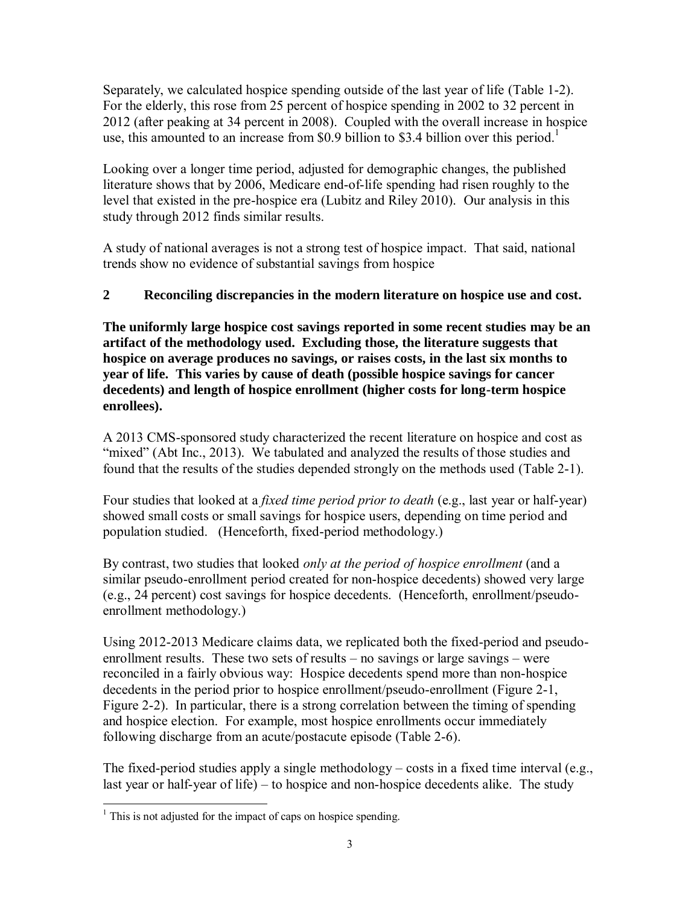Separately, we calculated hospice spending outside of the last year of life (Table 1-2). For the elderly, this rose from 25 percent of hospice spending in 2002 to 32 percent in 2012 (after peaking at 34 percent in 2008). Coupled with the overall increase in hospice use, this amounted to an increase from \$0.9 billion to \$3.4 billion over this period.<sup>1</sup>

Looking over a longer time period, adjusted for demographic changes, the published literature shows that by 2006, Medicare end-of-life spending had risen roughly to the level that existed in the pre-hospice era (Lubitz and Riley 2010). Our analysis in this study through 2012 finds similar results.

A study of national averages is not a strong test of hospice impact. That said, national trends show no evidence of substantial savings from hospice

# **2 Reconciling discrepancies in the modern literature on hospice use and cost.**

**The uniformly large hospice cost savings reported in some recent studies may be an artifact of the methodology used. Excluding those, the literature suggests that hospice on average produces no savings, or raises costs, in the last six months to year of life. This varies by cause of death (possible hospice savings for cancer decedents) and length of hospice enrollment (higher costs for long-term hospice enrollees).** 

A 2013 CMS-sponsored study characterized the recent literature on hospice and cost as "mixed" (Abt Inc., 2013). We tabulated and analyzed the results of those studies and found that the results of the studies depended strongly on the methods used (Table 2-1).

Four studies that looked at a *fixed time period prior to death* (e.g., last year or half-year) showed small costs or small savings for hospice users, depending on time period and population studied. (Henceforth, fixed-period methodology.)

By contrast, two studies that looked *only at the period of hospice enrollment* (and a similar pseudo-enrollment period created for non-hospice decedents) showed very large (e.g., 24 percent) cost savings for hospice decedents. (Henceforth, enrollment/pseudoenrollment methodology.)

Using 2012-2013 Medicare claims data, we replicated both the fixed-period and pseudoenrollment results. These two sets of results – no savings or large savings – were reconciled in a fairly obvious way: Hospice decedents spend more than non-hospice decedents in the period prior to hospice enrollment/pseudo-enrollment (Figure 2-1, Figure 2-2). In particular, there is a strong correlation between the timing of spending and hospice election. For example, most hospice enrollments occur immediately following discharge from an acute/postacute episode (Table 2-6).

The fixed-period studies apply a single methodology – costs in a fixed time interval (e.g., last year or half-year of life) – to hospice and non-hospice decedents alike. The study

<sup>&</sup>lt;sup>1</sup> This is not adjusted for the impact of caps on hospice spending.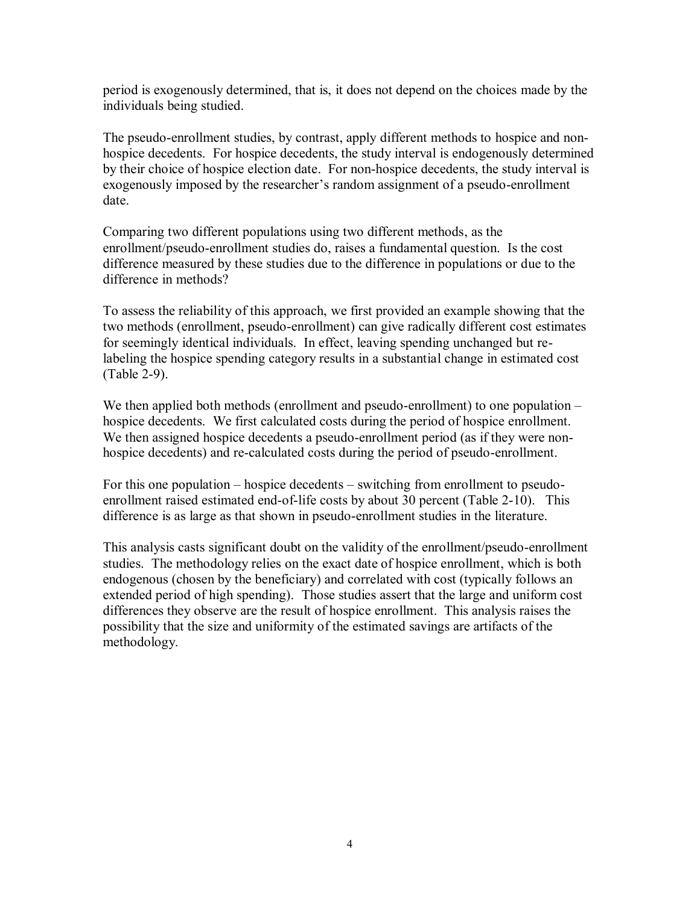period is exogenously determined, that is, it does not depend on the choices made by the individuals being studied.

The pseudo-enrollment studies, by contrast, apply different methods to hospice and nonhospice decedents. For hospice decedents, the study interval is endogenously determined by their choice of hospice election date. For non-hospice decedents, the study interval is exogenously imposed by the researcher's random assignment of a pseudo-enrollment date.

Comparing two different populations using two different methods, as the enrollment/pseudo-enrollment studies do, raises a fundamental question. Is the cost difference measured by these studies due to the difference in populations or due to the difference in methods?

To assess the reliability of this approach, we first provided an example showing that the two methods (enrollment, pseudo-enrollment) can give radically different cost estimates for seemingly identical individuals. In effect, leaving spending unchanged but relabeling the hospice spending category results in a substantial change in estimated cost (Table 2-9).

We then applied both methods (enrollment and pseudo-enrollment) to one population – hospice decedents. We first calculated costs during the period of hospice enrollment. We then assigned hospice decedents a pseudo-enrollment period (as if they were nonhospice decedents) and re-calculated costs during the period of pseudo-enrollment.

For this one population – hospice decedents – switching from enrollment to pseudoenrollment raised estimated end-of-life costs by about 30 percent (Table 2-10). This difference is as large as that shown in pseudo-enrollment studies in the literature.

This analysis casts significant doubt on the validity of the enrollment/pseudo-enrollment studies. The methodology relies on the exact date of hospice enrollment, which is both endogenous (chosen by the beneficiary) and correlated with cost (typically follows an extended period of high spending). Those studies assert that the large and uniform cost differences they observe are the result of hospice enrollment. This analysis raises the possibility that the size and uniformity of the estimated savings are artifacts of the methodology.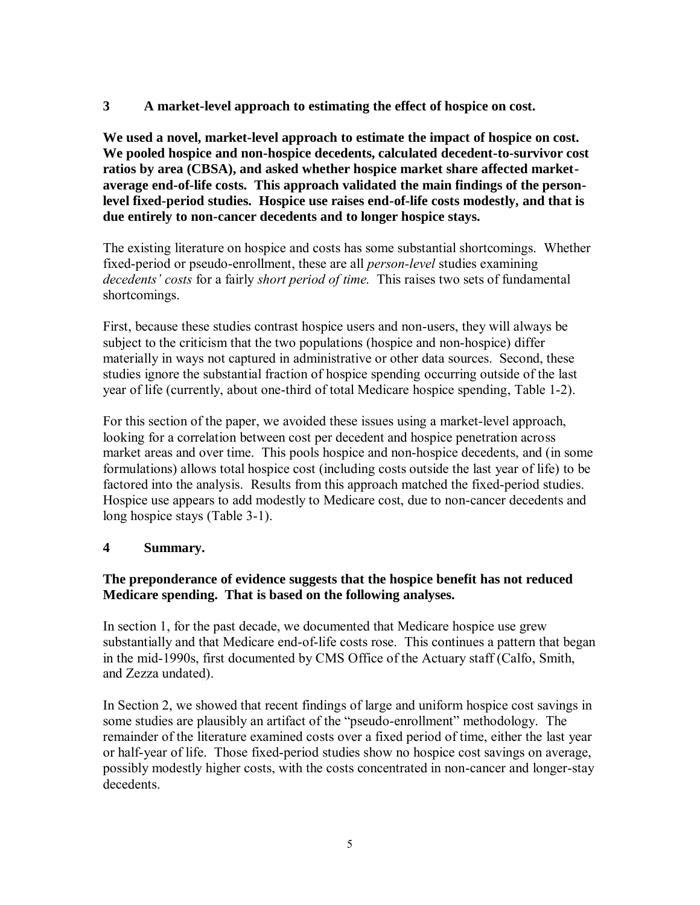**3 A market-level approach to estimating the effect of hospice on cost.** 

**We used a novel, market-level approach to estimate the impact of hospice on cost. We pooled hospice and non-hospice decedents, calculated decedent-to-survivor cost ratios by area (CBSA), and asked whether hospice market share affected marketaverage end-of-life costs. This approach validated the main findings of the personlevel fixed-period studies. Hospice use raises end-of-life costs modestly, and that is due entirely to non-cancer decedents and to longer hospice stays.** 

The existing literature on hospice and costs has some substantial shortcomings. Whether fixed-period or pseudo-enrollment, these are all *person-level* studies examining *decedents' costs* for a fairly *short period of time.* This raises two sets of fundamental shortcomings.

First, because these studies contrast hospice users and non-users, they will always be subject to the criticism that the two populations (hospice and non-hospice) differ materially in ways not captured in administrative or other data sources. Second, these studies ignore the substantial fraction of hospice spending occurring outside of the last year of life (currently, about one-third of total Medicare hospice spending, Table 1-2).

For this section of the paper, we avoided these issues using a market-level approach, looking for a correlation between cost per decedent and hospice penetration across market areas and over time. This pools hospice and non-hospice decedents, and (in some formulations) allows total hospice cost (including costs outside the last year of life) to be factored into the analysis. Results from this approach matched the fixed-period studies. Hospice use appears to add modestly to Medicare cost, due to non-cancer decedents and long hospice stays (Table 3-1).

# **4 Summary.**

# **The preponderance of evidence suggests that the hospice benefit has not reduced Medicare spending. That is based on the following analyses.**

In section 1, for the past decade, we documented that Medicare hospice use grew substantially and that Medicare end-of-life costs rose. This continues a pattern that began in the mid-1990s, first documented by CMS Office of the Actuary staff (Calfo, Smith, and Zezza undated).

In Section 2, we showed that recent findings of large and uniform hospice cost savings in some studies are plausibly an artifact of the "pseudo-enrollment" methodology. The remainder of the literature examined costs over a fixed period of time, either the last year or half-year of life. Those fixed-period studies show no hospice cost savings on average, possibly modestly higher costs, with the costs concentrated in non-cancer and longer-stay decedents.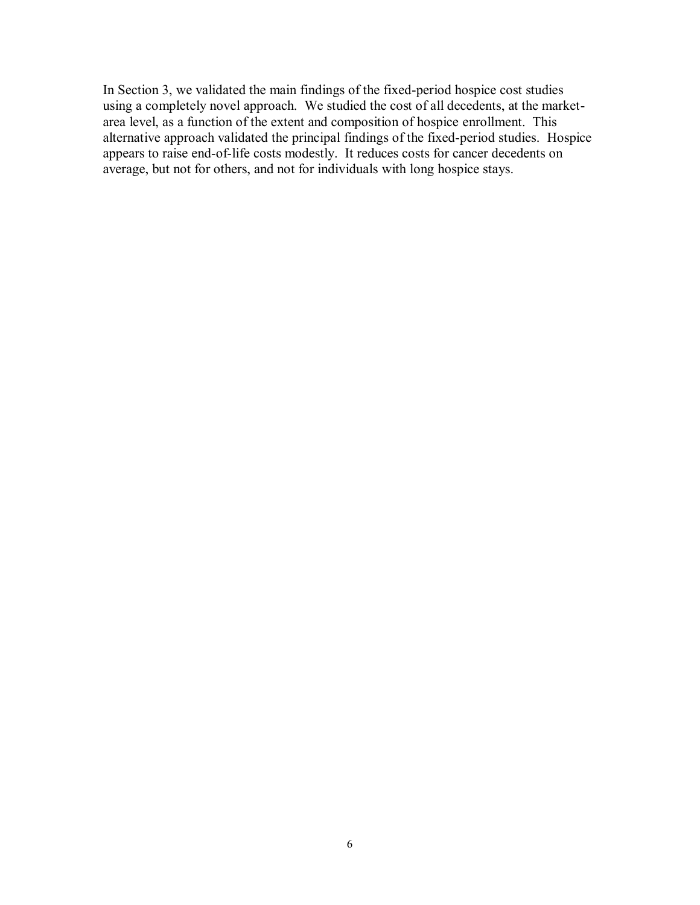In Section 3, we validated the main findings of the fixed-period hospice cost studies using a completely novel approach. We studied the cost of all decedents, at the marketarea level, as a function of the extent and composition of hospice enrollment. This alternative approach validated the principal findings of the fixed-period studies. Hospice appears to raise end-of-life costs modestly. It reduces costs for cancer decedents on average, but not for others, and not for individuals with long hospice stays.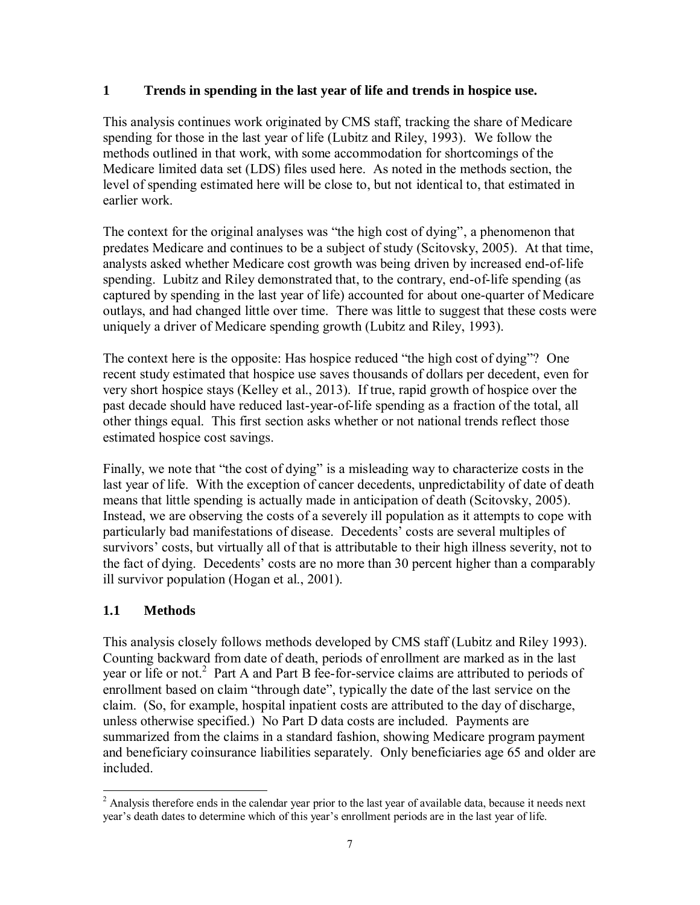# **1 Trends in spending in the last year of life and trends in hospice use.**

This analysis continues work originated by CMS staff, tracking the share of Medicare spending for those in the last year of life (Lubitz and Riley, 1993). We follow the methods outlined in that work, with some accommodation for shortcomings of the Medicare limited data set (LDS) files used here. As noted in the methods section, the level of spending estimated here will be close to, but not identical to, that estimated in earlier work.

The context for the original analyses was "the high cost of dying", a phenomenon that predates Medicare and continues to be a subject of study (Scitovsky, 2005). At that time, analysts asked whether Medicare cost growth was being driven by increased end-of-life spending. Lubitz and Riley demonstrated that, to the contrary, end-of-life spending (as captured by spending in the last year of life) accounted for about one-quarter of Medicare outlays, and had changed little over time. There was little to suggest that these costs were uniquely a driver of Medicare spending growth (Lubitz and Riley, 1993).

The context here is the opposite: Has hospice reduced "the high cost of dying"? One recent study estimated that hospice use saves thousands of dollars per decedent, even for very short hospice stays (Kelley et al., 2013). If true, rapid growth of hospice over the past decade should have reduced last-year-of-life spending as a fraction of the total, all other things equal. This first section asks whether or not national trends reflect those estimated hospice cost savings.

Finally, we note that "the cost of dying" is a misleading way to characterize costs in the last year of life. With the exception of cancer decedents, unpredictability of date of death means that little spending is actually made in anticipation of death (Scitovsky, 2005). Instead, we are observing the costs of a severely ill population as it attempts to cope with particularly bad manifestations of disease. Decedents' costs are several multiples of survivors' costs, but virtually all of that is attributable to their high illness severity, not to the fact of dying. Decedents' costs are no more than 30 percent higher than a comparably ill survivor population (Hogan et al., 2001).

# **1.1 Methods**

This analysis closely follows methods developed by CMS staff (Lubitz and Riley 1993). Counting backward from date of death, periods of enrollment are marked as in the last year or life or not.<sup>2</sup> Part A and Part B fee-for-service claims are attributed to periods of enrollment based on claim "through date", typically the date of the last service on the claim. (So, for example, hospital inpatient costs are attributed to the day of discharge, unless otherwise specified.) No Part D data costs are included. Payments are summarized from the claims in a standard fashion, showing Medicare program payment and beneficiary coinsurance liabilities separately. Only beneficiaries age 65 and older are included.

<sup>&</sup>lt;sup>2</sup> Analysis therefore ends in the calendar year prior to the last year of available data, because it needs next year's death dates to determine which of this year's enrollment periods are in the last year of life.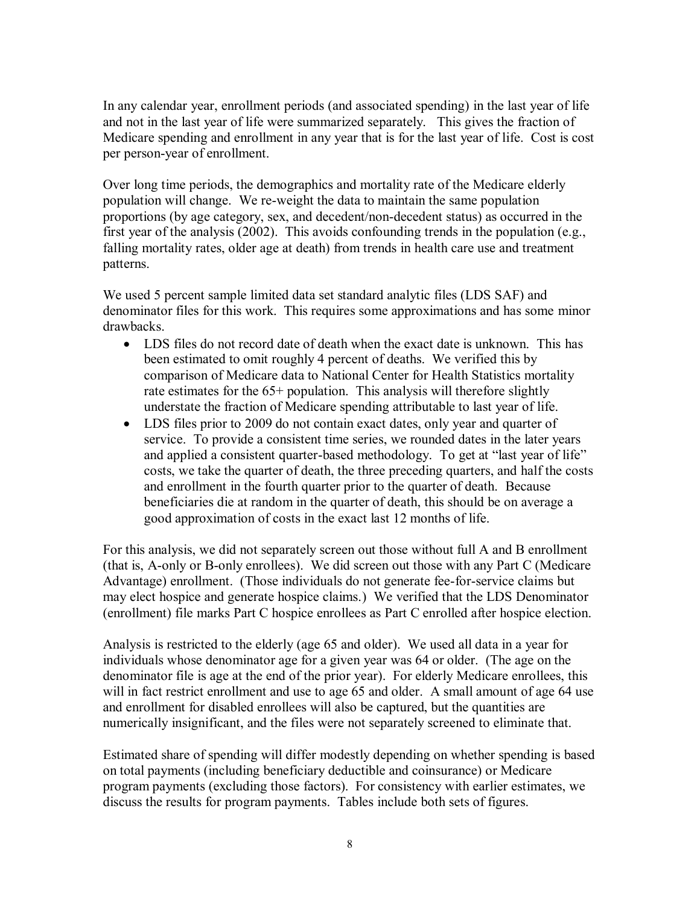In any calendar year, enrollment periods (and associated spending) in the last year of life and not in the last year of life were summarized separately. This gives the fraction of Medicare spending and enrollment in any year that is for the last year of life. Cost is cost per person-year of enrollment.

Over long time periods, the demographics and mortality rate of the Medicare elderly population will change. We re-weight the data to maintain the same population proportions (by age category, sex, and decedent/non-decedent status) as occurred in the first year of the analysis (2002). This avoids confounding trends in the population (e.g., falling mortality rates, older age at death) from trends in health care use and treatment patterns.

We used 5 percent sample limited data set standard analytic files (LDS SAF) and denominator files for this work. This requires some approximations and has some minor drawbacks.

- LDS files do not record date of death when the exact date is unknown. This has been estimated to omit roughly 4 percent of deaths. We verified this by comparison of Medicare data to National Center for Health Statistics mortality rate estimates for the 65+ population. This analysis will therefore slightly understate the fraction of Medicare spending attributable to last year of life.
- LDS files prior to 2009 do not contain exact dates, only year and quarter of service. To provide a consistent time series, we rounded dates in the later years and applied a consistent quarter-based methodology. To get at "last year of life" costs, we take the quarter of death, the three preceding quarters, and half the costs and enrollment in the fourth quarter prior to the quarter of death. Because beneficiaries die at random in the quarter of death, this should be on average a good approximation of costs in the exact last 12 months of life.

For this analysis, we did not separately screen out those without full A and B enrollment (that is, A-only or B-only enrollees). We did screen out those with any Part C (Medicare Advantage) enrollment. (Those individuals do not generate fee-for-service claims but may elect hospice and generate hospice claims.) We verified that the LDS Denominator (enrollment) file marks Part C hospice enrollees as Part C enrolled after hospice election.

Analysis is restricted to the elderly (age 65 and older). We used all data in a year for individuals whose denominator age for a given year was 64 or older. (The age on the denominator file is age at the end of the prior year). For elderly Medicare enrollees, this will in fact restrict enrollment and use to age 65 and older. A small amount of age 64 use and enrollment for disabled enrollees will also be captured, but the quantities are numerically insignificant, and the files were not separately screened to eliminate that.

Estimated share of spending will differ modestly depending on whether spending is based on total payments (including beneficiary deductible and coinsurance) or Medicare program payments (excluding those factors). For consistency with earlier estimates, we discuss the results for program payments. Tables include both sets of figures.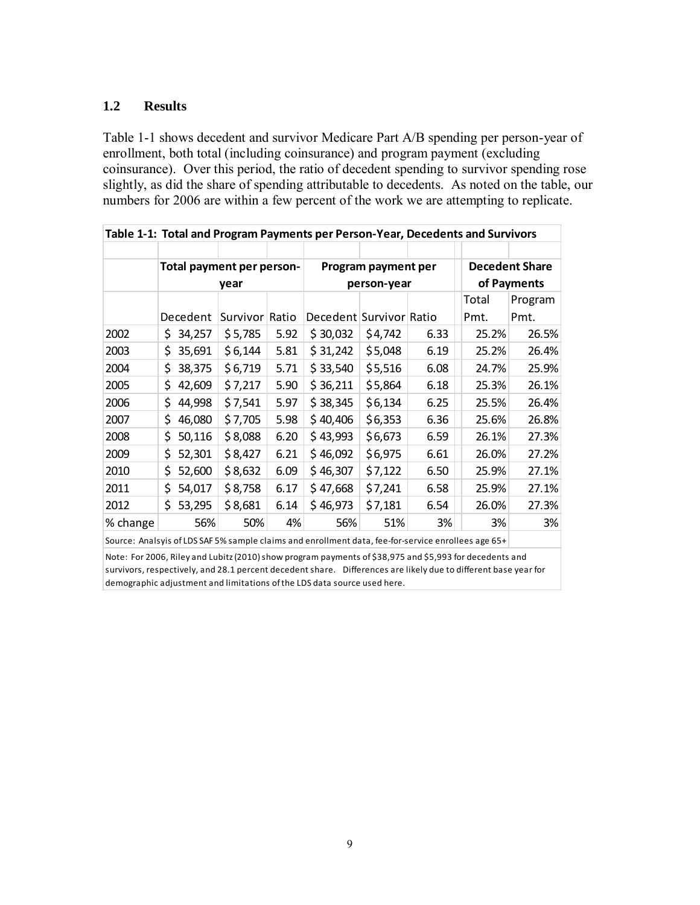## **1.2 Results**

Table 1-1 shows decedent and survivor Medicare Part A/B spending per person-year of enrollment, both total (including coinsurance) and program payment (excluding coinsurance). Over this period, the ratio of decedent spending to survivor spending rose slightly, as did the share of spending attributable to decedents. As noted on the table, our numbers for 2006 are within a few percent of the work we are attempting to replicate.

| Table 1-1: Total and Program Payments per Person-Year, Decedents and Survivors |      |          |                           |       |                         |                     |      |       |                       |
|--------------------------------------------------------------------------------|------|----------|---------------------------|-------|-------------------------|---------------------|------|-------|-----------------------|
|                                                                                |      |          |                           |       |                         |                     |      |       |                       |
|                                                                                |      |          | Total payment per person- |       |                         | Program payment per |      |       | <b>Decedent Share</b> |
|                                                                                | year |          |                           |       | person-year             | of Payments         |      |       |                       |
|                                                                                |      |          |                           |       |                         |                     |      | Total | Program               |
|                                                                                |      | Decedent | Survivor                  | Ratio | Decedent Survivor Ratio |                     |      | Pmt.  | Pmt.                  |
| 2002                                                                           | S.   | 34,257   | \$5,785                   | 5.92  | \$30,032                | \$4,742             | 6.33 | 25.2% | 26.5%                 |
| 2003                                                                           | \$   | 35,691   | \$6,144                   | 5.81  | \$31,242                | \$5,048             | 6.19 | 25.2% | 26.4%                 |
| 2004                                                                           | \$   | 38,375   | \$6,719                   | 5.71  | \$33,540                | \$5,516             | 6.08 | 24.7% | 25.9%                 |
| 2005                                                                           | \$   | 42,609   | \$7,217                   | 5.90  | \$36,211                | \$5,864             | 6.18 | 25.3% | 26.1%                 |
| 2006                                                                           | \$   | 44,998   | \$7,541                   | 5.97  | \$38,345                | \$6,134             | 6.25 | 25.5% | 26.4%                 |
| 2007                                                                           | \$   | 46,080   | \$7,705                   | 5.98  | \$40,406                | \$6,353             | 6.36 | 25.6% | 26.8%                 |
| 2008                                                                           | \$   | 50,116   | \$8,088                   | 6.20  | \$43,993                | \$6,673             | 6.59 | 26.1% | 27.3%                 |
| 2009                                                                           | \$   | 52,301   | \$8,427                   | 6.21  | \$46,092                | \$6,975             | 6.61 | 26.0% | 27.2%                 |
| 2010                                                                           | \$   | 52,600   | \$8,632                   | 6.09  | \$46,307                | \$7,122             | 6.50 | 25.9% | 27.1%                 |
| 2011                                                                           | \$   | 54,017   | \$8,758                   | 6.17  | \$47,668                | \$7,241             | 6.58 | 25.9% | 27.1%                 |
| 2012                                                                           | Ś.   | 53,295   | \$8,681                   | 6.14  | \$46,973                | \$7,181             | 6.54 | 26.0% | 27.3%                 |
| % change                                                                       |      | 56%      | 50%                       | 4%    | 56%                     | 51%                 | 3%   | 3%    | 3%                    |

Source: Analsyis of LDS SAF 5% sample claims and enrollment data, fee-for-service enrollees age 65+

Note: For 2006, Riley and Lubitz (2010) show program payments of \$38,975 and \$5,993 for decedents and survivors, respectively, and 28.1 percent decedent share. Differences are likely due to different base year for demographic adjustment and limitations of the LDS data source used here.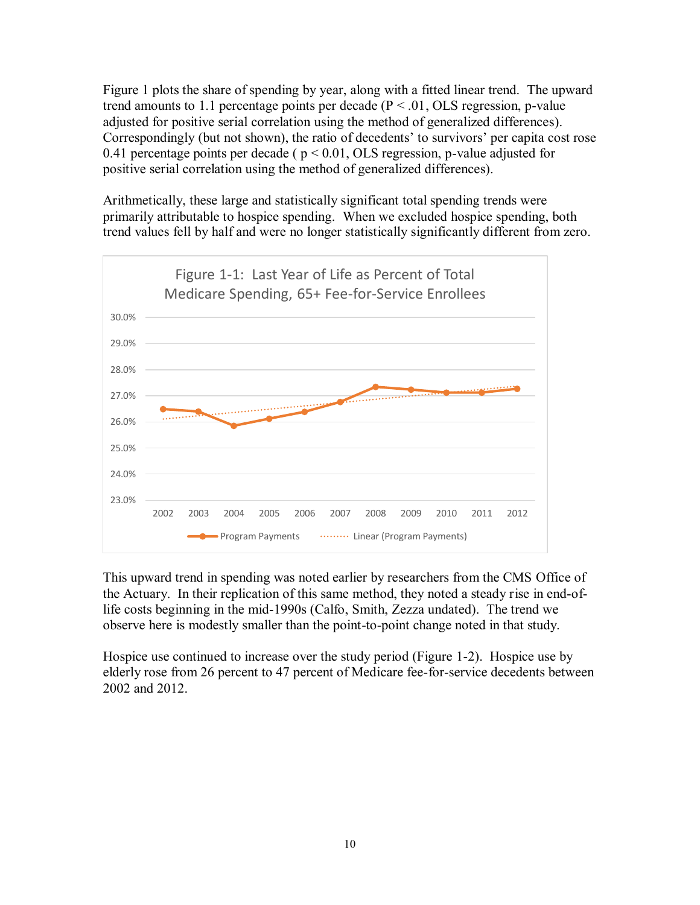Figure 1 plots the share of spending by year, along with a fitted linear trend. The upward trend amounts to 1.1 percentage points per decade  $(P < .01, OLS$  regression, p-value adjusted for positive serial correlation using the method of generalized differences). Correspondingly (but not shown), the ratio of decedents' to survivors' per capita cost rose 0.41 percentage points per decade ( $p < 0.01$ , OLS regression, p-value adjusted for positive serial correlation using the method of generalized differences).

Arithmetically, these large and statistically significant total spending trends were primarily attributable to hospice spending. When we excluded hospice spending, both trend values fell by half and were no longer statistically significantly different from zero.



This upward trend in spending was noted earlier by researchers from the CMS Office of the Actuary. In their replication of this same method, they noted a steady rise in end-oflife costs beginning in the mid-1990s (Calfo, Smith, Zezza undated). The trend we observe here is modestly smaller than the point-to-point change noted in that study.

Hospice use continued to increase over the study period (Figure 1-2). Hospice use by elderly rose from 26 percent to 47 percent of Medicare fee-for-service decedents between 2002 and 2012.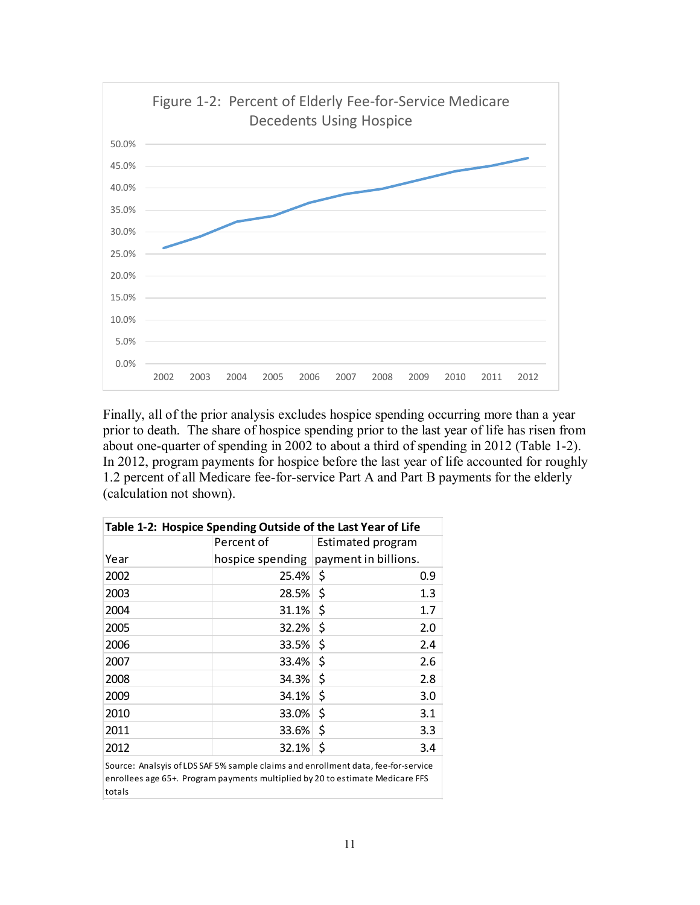

Finally, all of the prior analysis excludes hospice spending occurring more than a year prior to death. The share of hospice spending prior to the last year of life has risen from about one-quarter of spending in 2002 to about a third of spending in 2012 (Table 1-2). In 2012, program payments for hospice before the last year of life accounted for roughly 1.2 percent of all Medicare fee-for-service Part A and Part B payments for the elderly (calculation not shown).

| Table 1-2: Hospice Spending Outside of the Last Year of Life |            |                                                                                   |  |  |  |  |  |  |
|--------------------------------------------------------------|------------|-----------------------------------------------------------------------------------|--|--|--|--|--|--|
|                                                              | Percent of | Estimated program                                                                 |  |  |  |  |  |  |
| Year                                                         |            | hospice spending payment in billions.                                             |  |  |  |  |  |  |
| 2002                                                         | 25.4%      | -\$<br>0.9                                                                        |  |  |  |  |  |  |
| 2003                                                         | 28.5%      | \$<br>1.3                                                                         |  |  |  |  |  |  |
| 2004                                                         | 31.1%      | \$<br>1.7                                                                         |  |  |  |  |  |  |
| 2005                                                         | 32.2%      | \$<br>2.0                                                                         |  |  |  |  |  |  |
| 2006                                                         | 33.5%      | \$<br>2.4                                                                         |  |  |  |  |  |  |
| 2007                                                         | 33.4%      | \$<br>2.6                                                                         |  |  |  |  |  |  |
| 2008                                                         | 34.3%      | \$<br>2.8                                                                         |  |  |  |  |  |  |
| 2009                                                         | 34.1%      | \$<br>3.0                                                                         |  |  |  |  |  |  |
| 2010                                                         | 33.0%      | \$<br>3.1                                                                         |  |  |  |  |  |  |
| 2011                                                         | 33.6%      | \$<br>3.3                                                                         |  |  |  |  |  |  |
| 2012                                                         | 32.1%      | \$<br>3.4                                                                         |  |  |  |  |  |  |
|                                                              |            | Source: Analsvis of LDS SAF 5% sample claims and enrollment data, fee-for-service |  |  |  |  |  |  |

Source: Analsyis of LDS SAF 5% sample claims and enrollment data, fee-for-service enrollees age 65+. Program payments multiplied by 20 to estimate Medicare FFS totals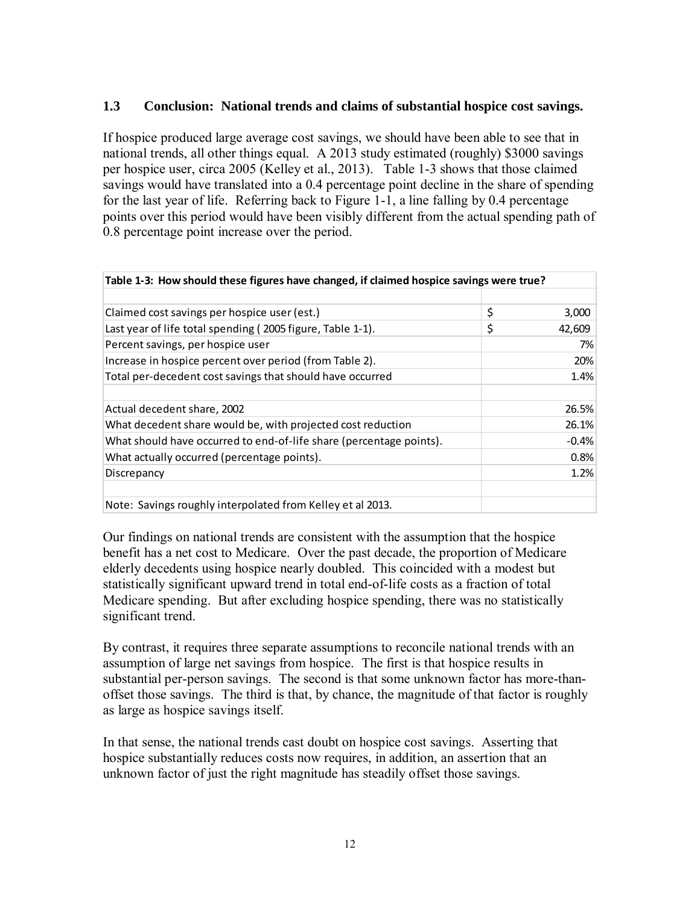## **1.3 Conclusion: National trends and claims of substantial hospice cost savings.**

If hospice produced large average cost savings, we should have been able to see that in national trends, all other things equal. A 2013 study estimated (roughly) \$3000 savings per hospice user, circa 2005 (Kelley et al., 2013). Table 1-3 shows that those claimed savings would have translated into a 0.4 percentage point decline in the share of spending for the last year of life. Referring back to Figure 1-1, a line falling by 0.4 percentage points over this period would have been visibly different from the actual spending path of 0.8 percentage point increase over the period.

| Table 1-3: How should these figures have changed, if claimed hospice savings were true? |    |         |  |  |  |  |  |
|-----------------------------------------------------------------------------------------|----|---------|--|--|--|--|--|
|                                                                                         |    |         |  |  |  |  |  |
| Claimed cost savings per hospice user (est.)                                            | \$ | 3,000   |  |  |  |  |  |
| Last year of life total spending (2005 figure, Table 1-1).                              | \$ | 42,609  |  |  |  |  |  |
| Percent savings, per hospice user                                                       |    | 7%      |  |  |  |  |  |
| Increase in hospice percent over period (from Table 2).                                 |    | 20%     |  |  |  |  |  |
| Total per-decedent cost savings that should have occurred                               |    | 1.4%    |  |  |  |  |  |
|                                                                                         |    |         |  |  |  |  |  |
| Actual decedent share, 2002                                                             |    | 26.5%   |  |  |  |  |  |
| What decedent share would be, with projected cost reduction                             |    | 26.1%   |  |  |  |  |  |
| What should have occurred to end-of-life share (percentage points).                     |    | $-0.4%$ |  |  |  |  |  |
| What actually occurred (percentage points).                                             |    | 0.8%    |  |  |  |  |  |
| Discrepancy                                                                             |    | 1.2%    |  |  |  |  |  |
|                                                                                         |    |         |  |  |  |  |  |
| Note: Savings roughly interpolated from Kelley et al 2013.                              |    |         |  |  |  |  |  |

Our findings on national trends are consistent with the assumption that the hospice benefit has a net cost to Medicare. Over the past decade, the proportion of Medicare elderly decedents using hospice nearly doubled. This coincided with a modest but statistically significant upward trend in total end-of-life costs as a fraction of total Medicare spending. But after excluding hospice spending, there was no statistically significant trend.

By contrast, it requires three separate assumptions to reconcile national trends with an assumption of large net savings from hospice. The first is that hospice results in substantial per-person savings. The second is that some unknown factor has more-thanoffset those savings. The third is that, by chance, the magnitude of that factor is roughly as large as hospice savings itself.

In that sense, the national trends cast doubt on hospice cost savings. Asserting that hospice substantially reduces costs now requires, in addition, an assertion that an unknown factor of just the right magnitude has steadily offset those savings.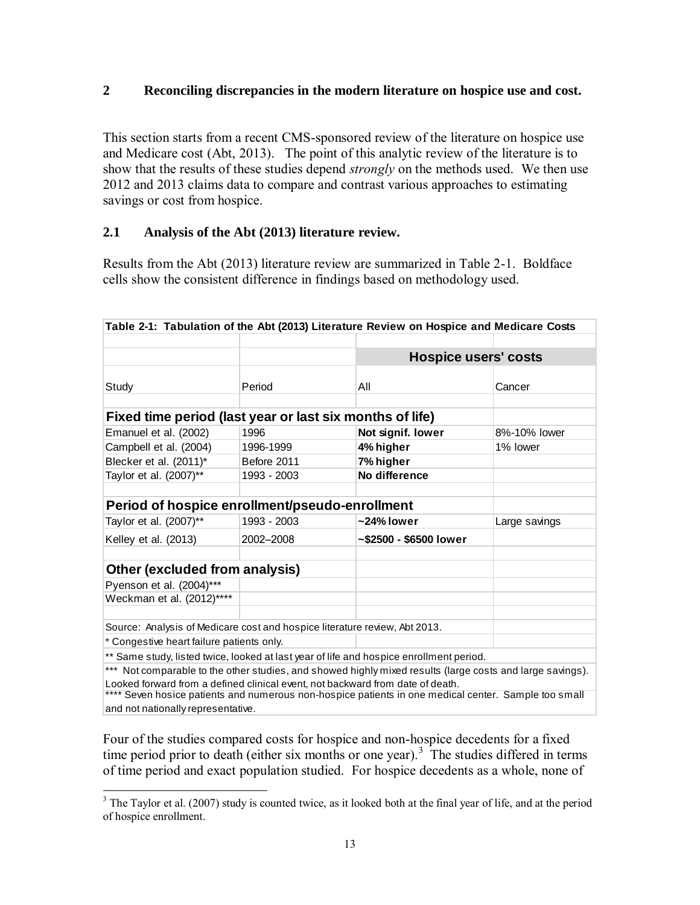## **2 Reconciling discrepancies in the modern literature on hospice use and cost.**

This section starts from a recent CMS-sponsored review of the literature on hospice use and Medicare cost (Abt, 2013). The point of this analytic review of the literature is to show that the results of these studies depend *strongly* on the methods used. We then use 2012 and 2013 claims data to compare and contrast various approaches to estimating savings or cost from hospice.

#### **2.1 Analysis of the Abt (2013) literature review.**

Results from the Abt (2013) literature review are summarized in Table 2-1. Boldface cells show the consistent difference in findings based on methodology used.

|                                                                                |             | Table 2-1: Tabulation of the Abt (2013) Literature Review on Hospice and Medicare Costs                   |               |
|--------------------------------------------------------------------------------|-------------|-----------------------------------------------------------------------------------------------------------|---------------|
|                                                                                |             |                                                                                                           |               |
|                                                                                |             | <b>Hospice users' costs</b>                                                                               |               |
|                                                                                |             |                                                                                                           |               |
| Study                                                                          | Period      | Αll                                                                                                       | Cancer        |
|                                                                                |             |                                                                                                           |               |
| Fixed time period (last year or last six months of life)                       |             |                                                                                                           |               |
| Emanuel et al. (2002)                                                          | 1996        | Not signif. lower                                                                                         | 8%-10% lower  |
| Campbell et al. (2004)                                                         | 1996-1999   | 4% higher                                                                                                 | 1% lower      |
| Blecker et al. (2011)*                                                         | Before 2011 | 7% higher                                                                                                 |               |
| Taylor et al. (2007)**                                                         | 1993 - 2003 | No difference                                                                                             |               |
|                                                                                |             |                                                                                                           |               |
| Period of hospice enrollment/pseudo-enrollment                                 |             |                                                                                                           |               |
| Taylor et al. (2007)**                                                         | 1993 - 2003 | ~24% lower                                                                                                | Large savings |
| Kelley et al. (2013)                                                           | 2002-2008   | ~\$2500 - \$6500 lower                                                                                    |               |
|                                                                                |             |                                                                                                           |               |
| Other (excluded from analysis)                                                 |             |                                                                                                           |               |
| Pyenson et al. (2004)***                                                       |             |                                                                                                           |               |
| Weckman et al. (2012)****                                                      |             |                                                                                                           |               |
|                                                                                |             |                                                                                                           |               |
| Source: Analysis of Medicare cost and hospice literature review, Abt 2013.     |             |                                                                                                           |               |
| * Congestive heart failure patients only.                                      |             |                                                                                                           |               |
|                                                                                |             | ** Same study, listed twice, looked at last year of life and hospice enrollment period.                   |               |
|                                                                                |             | *** Not comparable to the other studies, and showed highly mixed results (large costs and large savings). |               |
| Looked forward from a defined clinical event, not backward from date of death. |             |                                                                                                           |               |
|                                                                                |             | Seven hosice patients and numerous non-hospice patients in one medical center. Sample too small           |               |
| and not nationally representative.                                             |             |                                                                                                           |               |

Four of the studies compared costs for hospice and non-hospice decedents for a fixed time period prior to death (either six months or one year).<sup>3</sup> The studies differed in terms of time period and exact population studied. For hospice decedents as a whole, none of

<sup>&</sup>lt;sup>3</sup> The Taylor et al. (2007) study is counted twice, as it looked both at the final year of life, and at the period of hospice enrollment.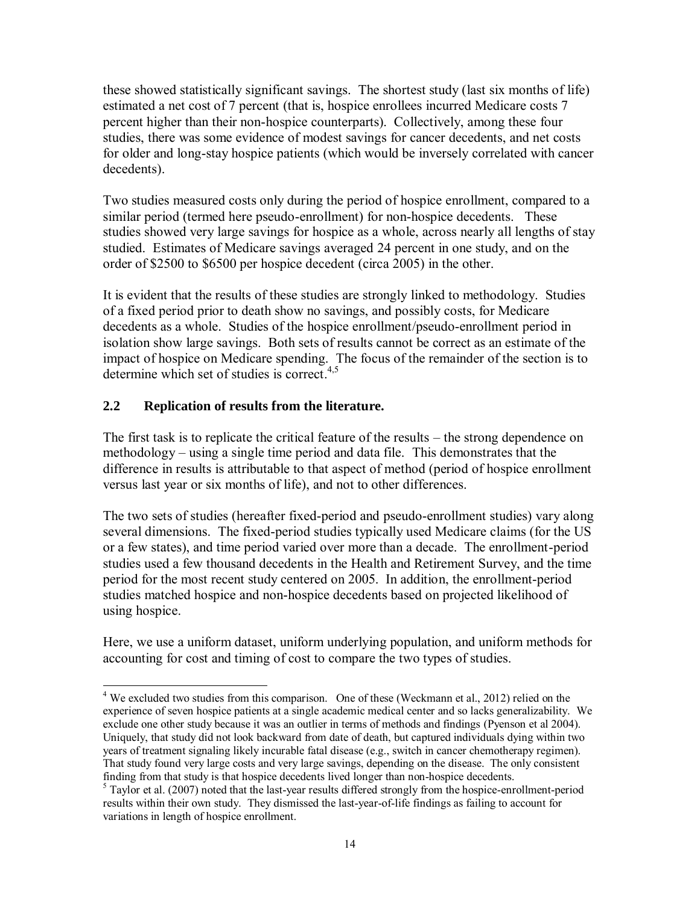these showed statistically significant savings. The shortest study (last six months of life) estimated a net cost of 7 percent (that is, hospice enrollees incurred Medicare costs 7 percent higher than their non-hospice counterparts). Collectively, among these four studies, there was some evidence of modest savings for cancer decedents, and net costs for older and long-stay hospice patients (which would be inversely correlated with cancer decedents).

Two studies measured costs only during the period of hospice enrollment, compared to a similar period (termed here pseudo-enrollment) for non-hospice decedents. These studies showed very large savings for hospice as a whole, across nearly all lengths of stay studied. Estimates of Medicare savings averaged 24 percent in one study, and on the order of \$2500 to \$6500 per hospice decedent (circa 2005) in the other.

It is evident that the results of these studies are strongly linked to methodology. Studies of a fixed period prior to death show no savings, and possibly costs, for Medicare decedents as a whole. Studies of the hospice enrollment/pseudo-enrollment period in isolation show large savings. Both sets of results cannot be correct as an estimate of the impact of hospice on Medicare spending. The focus of the remainder of the section is to determine which set of studies is correct.  $4.5$ 

# **2.2 Replication of results from the literature.**

The first task is to replicate the critical feature of the results – the strong dependence on methodology – using a single time period and data file. This demonstrates that the difference in results is attributable to that aspect of method (period of hospice enrollment versus last year or six months of life), and not to other differences.

The two sets of studies (hereafter fixed-period and pseudo-enrollment studies) vary along several dimensions. The fixed-period studies typically used Medicare claims (for the US or a few states), and time period varied over more than a decade. The enrollment-period studies used a few thousand decedents in the Health and Retirement Survey, and the time period for the most recent study centered on 2005. In addition, the enrollment-period studies matched hospice and non-hospice decedents based on projected likelihood of using hospice.

Here, we use a uniform dataset, uniform underlying population, and uniform methods for accounting for cost and timing of cost to compare the two types of studies.

 $\overline{a}$  $4$  We excluded two studies from this comparison. One of these (Weckmann et al., 2012) relied on the experience of seven hospice patients at a single academic medical center and so lacks generalizability. We exclude one other study because it was an outlier in terms of methods and findings (Pyenson et al 2004). Uniquely, that study did not look backward from date of death, but captured individuals dying within two years of treatment signaling likely incurable fatal disease (e.g., switch in cancer chemotherapy regimen). That study found very large costs and very large savings, depending on the disease. The only consistent finding from that study is that hospice decedents lived longer than non-hospice decedents.

<sup>&</sup>lt;sup>5</sup> Taylor et al. (2007) noted that the last-year results differed strongly from the hospice-enrollment-period results within their own study. They dismissed the last-year-of-life findings as failing to account for variations in length of hospice enrollment.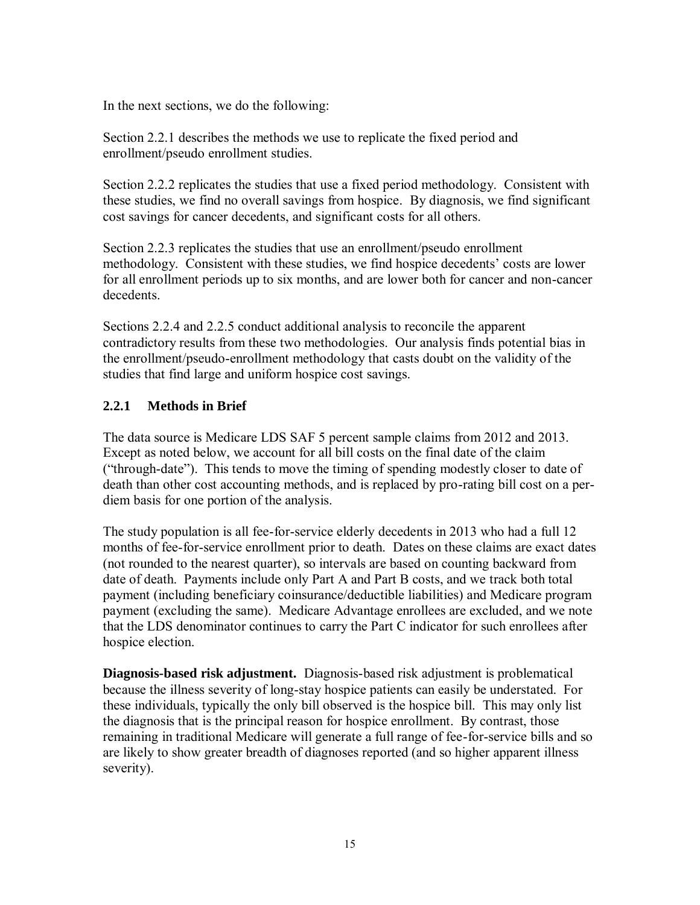In the next sections, we do the following:

Section 2.2.1 describes the methods we use to replicate the fixed period and enrollment/pseudo enrollment studies.

Section 2.2.2 replicates the studies that use a fixed period methodology. Consistent with these studies, we find no overall savings from hospice. By diagnosis, we find significant cost savings for cancer decedents, and significant costs for all others.

Section 2.2.3 replicates the studies that use an enrollment/pseudo enrollment methodology. Consistent with these studies, we find hospice decedents' costs are lower for all enrollment periods up to six months, and are lower both for cancer and non-cancer decedents.

Sections 2.2.4 and 2.2.5 conduct additional analysis to reconcile the apparent contradictory results from these two methodologies. Our analysis finds potential bias in the enrollment/pseudo-enrollment methodology that casts doubt on the validity of the studies that find large and uniform hospice cost savings.

# **2.2.1 Methods in Brief**

The data source is Medicare LDS SAF 5 percent sample claims from 2012 and 2013. Except as noted below, we account for all bill costs on the final date of the claim ("through-date"). This tends to move the timing of spending modestly closer to date of death than other cost accounting methods, and is replaced by pro-rating bill cost on a perdiem basis for one portion of the analysis.

The study population is all fee-for-service elderly decedents in 2013 who had a full 12 months of fee-for-service enrollment prior to death. Dates on these claims are exact dates (not rounded to the nearest quarter), so intervals are based on counting backward from date of death. Payments include only Part A and Part B costs, and we track both total payment (including beneficiary coinsurance/deductible liabilities) and Medicare program payment (excluding the same). Medicare Advantage enrollees are excluded, and we note that the LDS denominator continues to carry the Part C indicator for such enrollees after hospice election.

**Diagnosis-based risk adjustment.** Diagnosis-based risk adjustment is problematical because the illness severity of long-stay hospice patients can easily be understated. For these individuals, typically the only bill observed is the hospice bill. This may only list the diagnosis that is the principal reason for hospice enrollment. By contrast, those remaining in traditional Medicare will generate a full range of fee-for-service bills and so are likely to show greater breadth of diagnoses reported (and so higher apparent illness severity).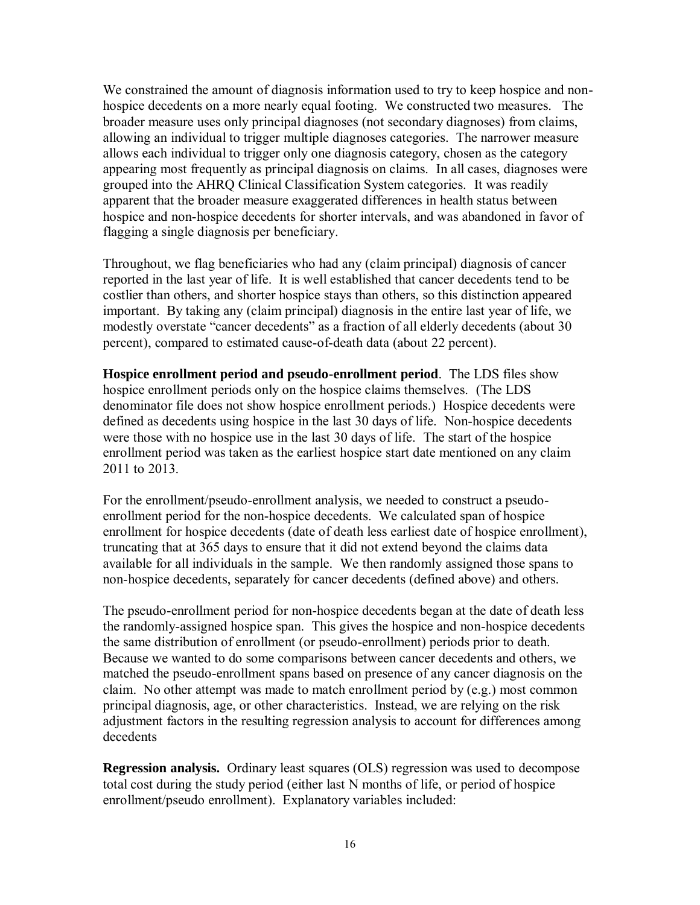We constrained the amount of diagnosis information used to try to keep hospice and nonhospice decedents on a more nearly equal footing. We constructed two measures. The broader measure uses only principal diagnoses (not secondary diagnoses) from claims, allowing an individual to trigger multiple diagnoses categories. The narrower measure allows each individual to trigger only one diagnosis category, chosen as the category appearing most frequently as principal diagnosis on claims. In all cases, diagnoses were grouped into the AHRQ Clinical Classification System categories. It was readily apparent that the broader measure exaggerated differences in health status between hospice and non-hospice decedents for shorter intervals, and was abandoned in favor of flagging a single diagnosis per beneficiary.

Throughout, we flag beneficiaries who had any (claim principal) diagnosis of cancer reported in the last year of life. It is well established that cancer decedents tend to be costlier than others, and shorter hospice stays than others, so this distinction appeared important. By taking any (claim principal) diagnosis in the entire last year of life, we modestly overstate "cancer decedents" as a fraction of all elderly decedents (about 30 percent), compared to estimated cause-of-death data (about 22 percent).

**Hospice enrollment period and pseudo-enrollment period**. The LDS files show hospice enrollment periods only on the hospice claims themselves. (The LDS denominator file does not show hospice enrollment periods.) Hospice decedents were defined as decedents using hospice in the last 30 days of life. Non-hospice decedents were those with no hospice use in the last 30 days of life. The start of the hospice enrollment period was taken as the earliest hospice start date mentioned on any claim 2011 to 2013.

For the enrollment/pseudo-enrollment analysis, we needed to construct a pseudoenrollment period for the non-hospice decedents. We calculated span of hospice enrollment for hospice decedents (date of death less earliest date of hospice enrollment), truncating that at 365 days to ensure that it did not extend beyond the claims data available for all individuals in the sample. We then randomly assigned those spans to non-hospice decedents, separately for cancer decedents (defined above) and others.

The pseudo-enrollment period for non-hospice decedents began at the date of death less the randomly-assigned hospice span. This gives the hospice and non-hospice decedents the same distribution of enrollment (or pseudo-enrollment) periods prior to death. Because we wanted to do some comparisons between cancer decedents and others, we matched the pseudo-enrollment spans based on presence of any cancer diagnosis on the claim. No other attempt was made to match enrollment period by (e.g.) most common principal diagnosis, age, or other characteristics. Instead, we are relying on the risk adjustment factors in the resulting regression analysis to account for differences among decedents

**Regression analysis.** Ordinary least squares (OLS) regression was used to decompose total cost during the study period (either last N months of life, or period of hospice enrollment/pseudo enrollment). Explanatory variables included: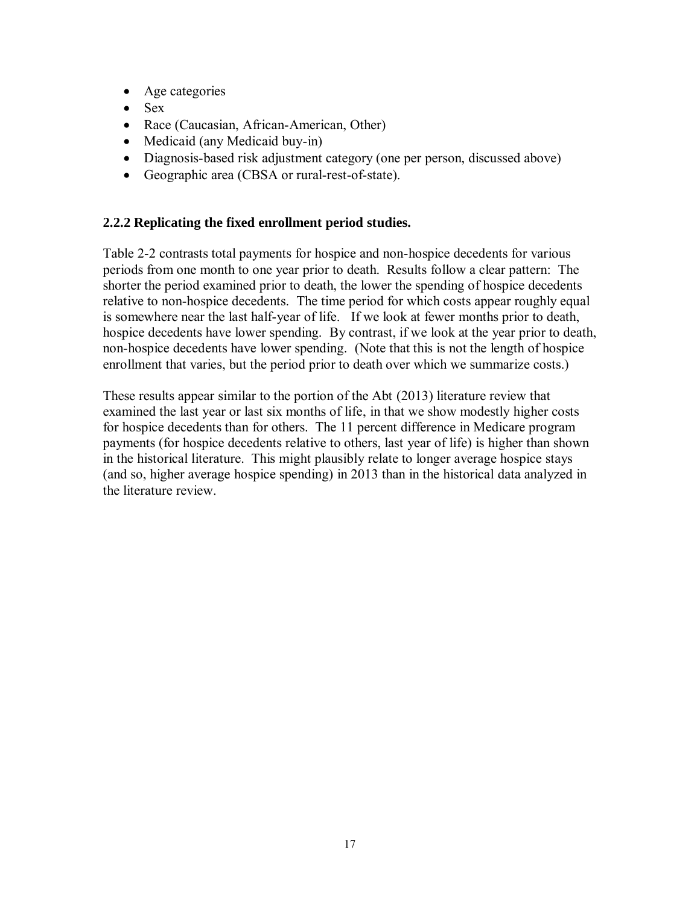- Age categories
- $-$  Sex
- Race (Caucasian, African-American, Other)
- Medicaid (any Medicaid buy-in)
- Diagnosis-based risk adjustment category (one per person, discussed above)
- Geographic area (CBSA or rural-rest-of-state).

## **2.2.2 Replicating the fixed enrollment period studies.**

Table 2-2 contrasts total payments for hospice and non-hospice decedents for various periods from one month to one year prior to death. Results follow a clear pattern: The shorter the period examined prior to death, the lower the spending of hospice decedents relative to non-hospice decedents. The time period for which costs appear roughly equal is somewhere near the last half-year of life. If we look at fewer months prior to death, hospice decedents have lower spending. By contrast, if we look at the year prior to death, non-hospice decedents have lower spending. (Note that this is not the length of hospice enrollment that varies, but the period prior to death over which we summarize costs.)

These results appear similar to the portion of the Abt (2013) literature review that examined the last year or last six months of life, in that we show modestly higher costs for hospice decedents than for others. The 11 percent difference in Medicare program payments (for hospice decedents relative to others, last year of life) is higher than shown in the historical literature. This might plausibly relate to longer average hospice stays (and so, higher average hospice spending) in 2013 than in the historical data analyzed in the literature review.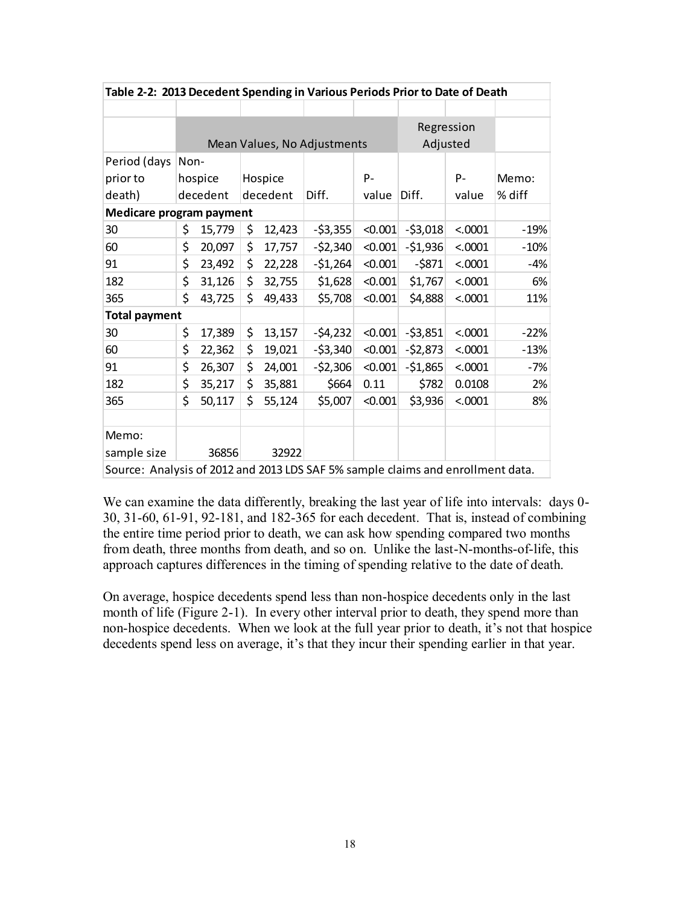| Table 2-2: 2013 Decedent Spending in Various Periods Prior to Date of Death     |      |          |    |          |                             |         |           |            |        |  |
|---------------------------------------------------------------------------------|------|----------|----|----------|-----------------------------|---------|-----------|------------|--------|--|
|                                                                                 |      |          |    |          |                             |         |           |            |        |  |
|                                                                                 |      |          |    |          |                             |         |           | Regression |        |  |
|                                                                                 |      |          |    |          | Mean Values, No Adjustments |         |           | Adjusted   |        |  |
| Period (days                                                                    | Non- |          |    |          |                             |         |           |            |        |  |
| prior to                                                                        |      | hospice  |    | Hospice  |                             | $P -$   |           | $P -$      | Memo:  |  |
| death)                                                                          |      | decedent |    | decedent | Diff.                       | value   | Diff.     | value      | % diff |  |
| <b>Medicare program payment</b>                                                 |      |          |    |          |                             |         |           |            |        |  |
| 30                                                                              | \$   | 15,779   | \$ | 12,423   | $-53,355$                   | < 0.001 | $-53,018$ | < .0001    | $-19%$ |  |
| 60                                                                              | \$   | 20,097   | \$ | 17,757   | $-52,340$                   | < 0.001 | $-51,936$ | < .0001    | $-10%$ |  |
| 91                                                                              | \$   | 23,492   | \$ | 22,228   | $-51,264$                   | < 0.001 | $-5871$   | < .0001    | $-4%$  |  |
| 182                                                                             | \$   | 31,126   | \$ | 32,755   | \$1,628                     | < 0.001 | \$1,767   | < .0001    | 6%     |  |
| 365                                                                             | \$   | 43,725   | \$ | 49,433   | \$5,708                     | < 0.001 | \$4,888   | < .0001    | 11%    |  |
| <b>Total payment</b>                                                            |      |          |    |          |                             |         |           |            |        |  |
| 30                                                                              | \$   | 17,389   | \$ | 13,157   | $-54,232$                   | < 0.001 | $-53,851$ | < .0001    | $-22%$ |  |
| 60                                                                              | \$   | 22,362   | \$ | 19,021   | $-53,340$                   | < 0.001 | $-52,873$ | < .0001    | $-13%$ |  |
| 91                                                                              | \$   | 26,307   | \$ | 24,001   | $-52,306$                   | < 0.001 | $-51,865$ | < .0001    | -7%    |  |
| 182                                                                             | \$   | 35,217   | \$ | 35,881   | \$664                       | 0.11    | \$782     | 0.0108     | 2%     |  |
| 365                                                                             | \$   | 50,117   | \$ | 55,124   | \$5,007                     | < 0.001 | \$3,936   | < .0001    | 8%     |  |
|                                                                                 |      |          |    |          |                             |         |           |            |        |  |
| Memo:                                                                           |      |          |    |          |                             |         |           |            |        |  |
| sample size                                                                     |      | 36856    |    | 32922    |                             |         |           |            |        |  |
| Source: Analysis of 2012 and 2013 LDS SAF 5% sample claims and enrollment data. |      |          |    |          |                             |         |           |            |        |  |

We can examine the data differently, breaking the last year of life into intervals: days 0- 30, 31-60, 61-91, 92-181, and 182-365 for each decedent. That is, instead of combining the entire time period prior to death, we can ask how spending compared two months from death, three months from death, and so on. Unlike the last-N-months-of-life, this approach captures differences in the timing of spending relative to the date of death.

On average, hospice decedents spend less than non-hospice decedents only in the last month of life (Figure 2-1). In every other interval prior to death, they spend more than non-hospice decedents. When we look at the full year prior to death, it's not that hospice decedents spend less on average, it's that they incur their spending earlier in that year.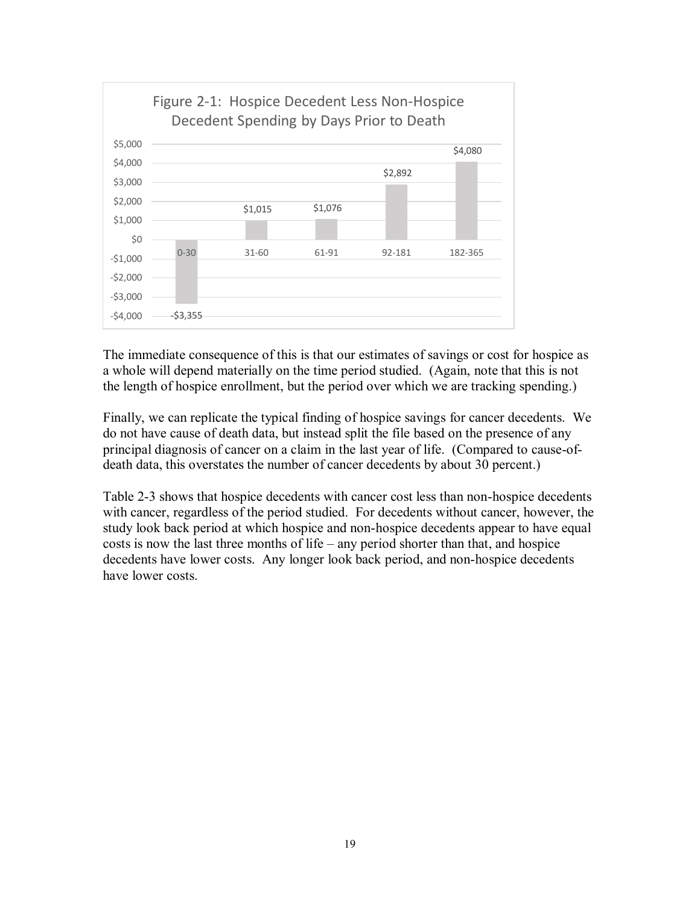

The immediate consequence of this is that our estimates of savings or cost for hospice as a whole will depend materially on the time period studied. (Again, note that this is not the length of hospice enrollment, but the period over which we are tracking spending.)

Finally, we can replicate the typical finding of hospice savings for cancer decedents. We do not have cause of death data, but instead split the file based on the presence of any principal diagnosis of cancer on a claim in the last year of life. (Compared to cause-ofdeath data, this overstates the number of cancer decedents by about 30 percent.)

Table 2-3 shows that hospice decedents with cancer cost less than non-hospice decedents with cancer, regardless of the period studied. For decedents without cancer, however, the study look back period at which hospice and non-hospice decedents appear to have equal costs is now the last three months of life – any period shorter than that, and hospice decedents have lower costs. Any longer look back period, and non-hospice decedents have lower costs.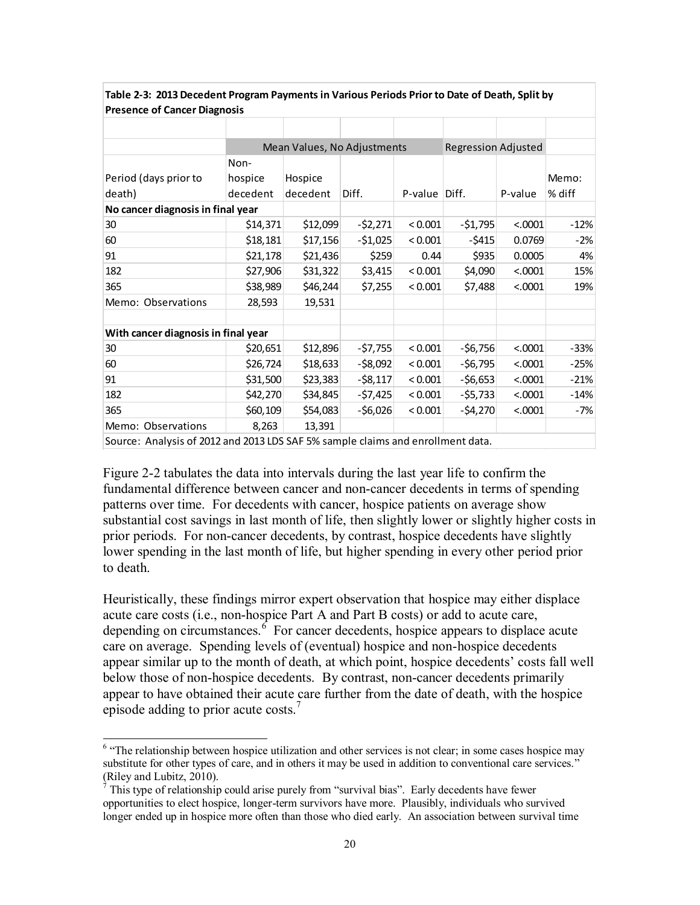| Presence of Cancer Diagnosis                                                    |          |                             |           |               |                            |         |        |  |  |
|---------------------------------------------------------------------------------|----------|-----------------------------|-----------|---------------|----------------------------|---------|--------|--|--|
|                                                                                 |          |                             |           |               |                            |         |        |  |  |
|                                                                                 |          | Mean Values, No Adjustments |           |               | <b>Regression Adjusted</b> |         |        |  |  |
|                                                                                 | Non-     |                             |           |               |                            |         |        |  |  |
| Period (days prior to                                                           | hospice  | Hospice                     |           |               |                            |         | Memo:  |  |  |
| death)                                                                          | decedent | decedent                    | Diff.     | P-value Diff. |                            | P-value | % diff |  |  |
| No cancer diagnosis in final year                                               |          |                             |           |               |                            |         |        |  |  |
| 30                                                                              | \$14,371 | \$12,099                    | $-52,271$ | < 0.001       | $-51,795$                  | < .0001 | $-12%$ |  |  |
| 60                                                                              | \$18,181 | \$17,156                    | $-51,025$ | < 0.001       | $-$ \$415                  | 0.0769  | $-2%$  |  |  |
| 91                                                                              | \$21,178 | \$21,436                    | \$259     | 0.44          | \$935                      | 0.0005  | 4%     |  |  |
| 182                                                                             | \$27,906 | \$31,322                    | \$3,415   | < 0.001       | \$4,090                    | < .0001 | 15%    |  |  |
| 365                                                                             | \$38,989 | \$46,244                    | \$7,255   | < 0.001       | \$7,488                    | < .0001 | 19%    |  |  |
| Memo: Observations                                                              | 28,593   | 19,531                      |           |               |                            |         |        |  |  |
|                                                                                 |          |                             |           |               |                            |         |        |  |  |
| With cancer diagnosis in final year                                             |          |                             |           |               |                            |         |        |  |  |
| 30                                                                              | \$20,651 | \$12,896                    | $-57,755$ | < 0.001       | $-56,756$                  | < .0001 | $-33%$ |  |  |
| 60                                                                              | \$26,724 | \$18,633                    | $-58,092$ | < 0.001       | $-56,795$                  | < .0001 | $-25%$ |  |  |
| 91                                                                              | \$31,500 | \$23,383                    | $-58,117$ | < 0.001       | $-56,653$                  | < .0001 | $-21%$ |  |  |
| 182                                                                             | \$42,270 | \$34,845                    | $-57,425$ | < 0.001       | $-$ \$5,733                | < .0001 | $-14%$ |  |  |
| 365                                                                             | \$60,109 | \$54,083                    | $-56,026$ | < 0.001       | $-54,270$                  | < .0001 | -7%    |  |  |
| Memo: Observations                                                              | 8,263    | 13,391                      |           |               |                            |         |        |  |  |
| Source: Analysis of 2012 and 2013 LDS SAF 5% sample claims and enrollment data. |          |                             |           |               |                            |         |        |  |  |

#### **Table 2-3: 2013 Decedent Program Payments in Various Periods Prior to Date of Death, Split by Presence of Cancer Diagnosis**

Figure 2-2 tabulates the data into intervals during the last year life to confirm the fundamental difference between cancer and non-cancer decedents in terms of spending patterns over time. For decedents with cancer, hospice patients on average show substantial cost savings in last month of life, then slightly lower or slightly higher costs in prior periods. For non-cancer decedents, by contrast, hospice decedents have slightly lower spending in the last month of life, but higher spending in every other period prior to death.

Heuristically, these findings mirror expert observation that hospice may either displace acute care costs (i.e., non-hospice Part A and Part B costs) or add to acute care, depending on circumstances. <sup>6</sup> For cancer decedents, hospice appears to displace acute care on average. Spending levels of (eventual) hospice and non-hospice decedents appear similar up to the month of death, at which point, hospice decedents' costs fall well below those of non-hospice decedents. By contrast, non-cancer decedents primarily appear to have obtained their acute care further from the date of death, with the hospice episode adding to prior acute costs. $<sup>7</sup>$ </sup>

<sup>&</sup>lt;sup>6</sup> "The relationship between hospice utilization and other services is not clear; in some cases hospice may substitute for other types of care, and in others it may be used in addition to conventional care services." (Riley and Lubitz, 2010).

 $\bar{7}$  This type of relationship could arise purely from "survival bias". Early decedents have fewer opportunities to elect hospice, longer-term survivors have more. Plausibly, individuals who survived longer ended up in hospice more often than those who died early. An association between survival time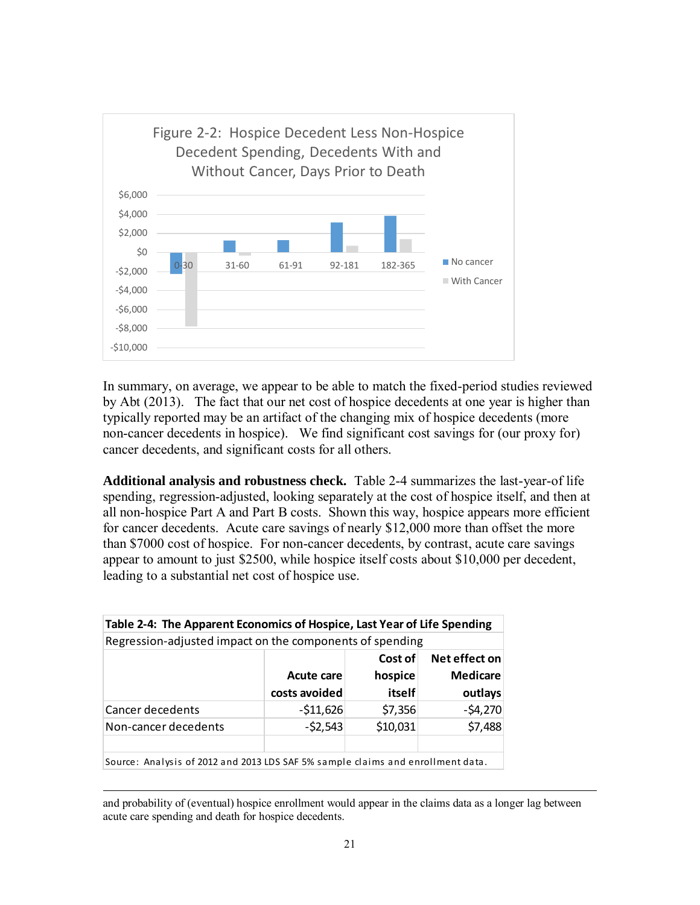

In summary, on average, we appear to be able to match the fixed-period studies reviewed by Abt (2013). The fact that our net cost of hospice decedents at one year is higher than typically reported may be an artifact of the changing mix of hospice decedents (more non-cancer decedents in hospice). We find significant cost savings for (our proxy for) cancer decedents, and significant costs for all others.

**Additional analysis and robustness check.** Table 2-4 summarizes the last-year-of life spending, regression-adjusted, looking separately at the cost of hospice itself, and then at all non-hospice Part A and Part B costs. Shown this way, hospice appears more efficient for cancer decedents. Acute care savings of nearly \$12,000 more than offset the more than \$7000 cost of hospice. For non-cancer decedents, by contrast, acute care savings appear to amount to just \$2500, while hospice itself costs about \$10,000 per decedent, leading to a substantial net cost of hospice use.

| Table 2-4: The Apparent Economics of Hospice, Last Year of Life Spending        |               |          |                 |  |  |  |  |  |  |
|---------------------------------------------------------------------------------|---------------|----------|-----------------|--|--|--|--|--|--|
| Regression-adjusted impact on the components of spending                        |               |          |                 |  |  |  |  |  |  |
| Net effect on<br>Cost of                                                        |               |          |                 |  |  |  |  |  |  |
|                                                                                 | Acute care    | hospice  | <b>Medicare</b> |  |  |  |  |  |  |
|                                                                                 | costs avoided | itself   | outlays         |  |  |  |  |  |  |
| Cancer decedents                                                                | $-511,626$    | \$7,356  | $-54,270$       |  |  |  |  |  |  |
| Non-cancer decedents                                                            | $-52,543$     | \$10,031 | \$7,488         |  |  |  |  |  |  |
|                                                                                 |               |          |                 |  |  |  |  |  |  |
| Source: Analysis of 2012 and 2013 LDS SAF 5% sample claims and enrollment data. |               |          |                 |  |  |  |  |  |  |

 $\overline{a}$ and probability of (eventual) hospice enrollment would appear in the claims data as a longer lag between acute care spending and death for hospice decedents.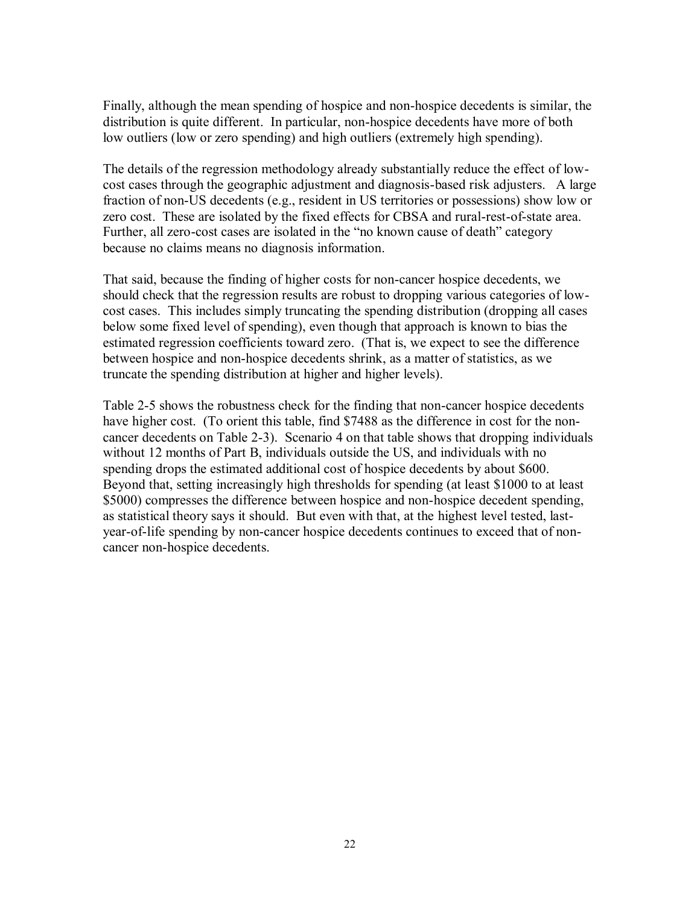Finally, although the mean spending of hospice and non-hospice decedents is similar, the distribution is quite different. In particular, non-hospice decedents have more of both low outliers (low or zero spending) and high outliers (extremely high spending).

The details of the regression methodology already substantially reduce the effect of lowcost cases through the geographic adjustment and diagnosis-based risk adjusters. A large fraction of non-US decedents (e.g., resident in US territories or possessions) show low or zero cost. These are isolated by the fixed effects for CBSA and rural-rest-of-state area. Further, all zero-cost cases are isolated in the "no known cause of death" category because no claims means no diagnosis information.

That said, because the finding of higher costs for non-cancer hospice decedents, we should check that the regression results are robust to dropping various categories of lowcost cases. This includes simply truncating the spending distribution (dropping all cases below some fixed level of spending), even though that approach is known to bias the estimated regression coefficients toward zero. (That is, we expect to see the difference between hospice and non-hospice decedents shrink, as a matter of statistics, as we truncate the spending distribution at higher and higher levels).

Table 2-5 shows the robustness check for the finding that non-cancer hospice decedents have higher cost. (To orient this table, find \$7488 as the difference in cost for the noncancer decedents on Table 2-3). Scenario 4 on that table shows that dropping individuals without 12 months of Part B, individuals outside the US, and individuals with no spending drops the estimated additional cost of hospice decedents by about \$600. Beyond that, setting increasingly high thresholds for spending (at least \$1000 to at least \$5000) compresses the difference between hospice and non-hospice decedent spending, as statistical theory says it should. But even with that, at the highest level tested, lastyear-of-life spending by non-cancer hospice decedents continues to exceed that of noncancer non-hospice decedents.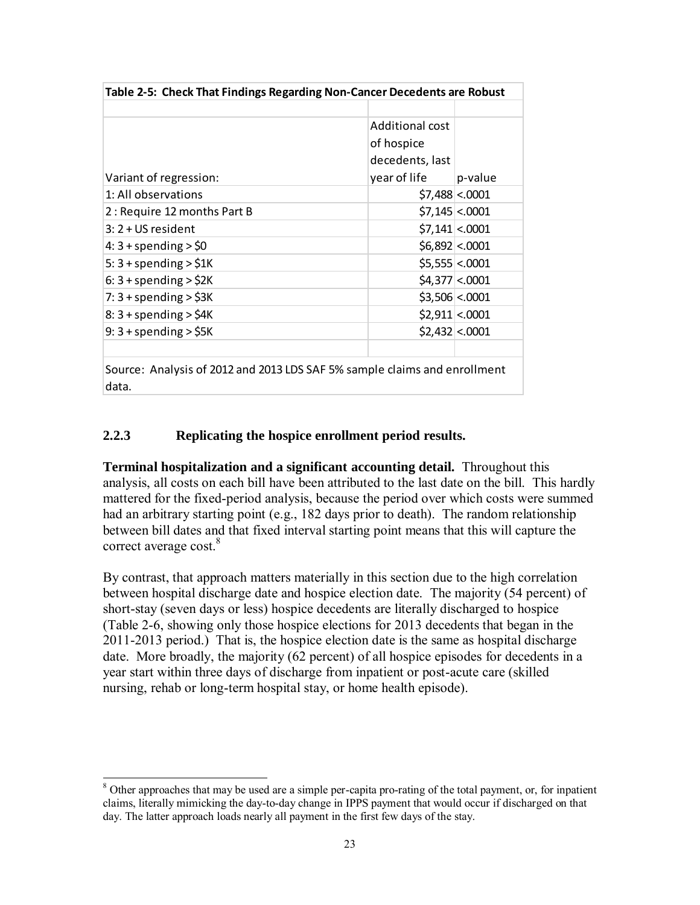| Table 2-5: Check That Findings Regarding Non-Cancer Decedents are Robust           |                 |                 |  |  |  |  |  |
|------------------------------------------------------------------------------------|-----------------|-----------------|--|--|--|--|--|
|                                                                                    |                 |                 |  |  |  |  |  |
|                                                                                    | Additional cost |                 |  |  |  |  |  |
|                                                                                    | of hospice      |                 |  |  |  |  |  |
|                                                                                    | decedents, last |                 |  |  |  |  |  |
| Variant of regression:                                                             | year of life    | p-value         |  |  |  |  |  |
| 1: All observations                                                                |                 | $$7,488$ < 0001 |  |  |  |  |  |
| 2: Require 12 months Part B                                                        |                 | $$7,145$ < 0001 |  |  |  |  |  |
| 3: 2 + US resident                                                                 |                 | $$7,141$ < 0001 |  |  |  |  |  |
| $4:3 +$ spending $>$ \$0                                                           |                 | \$6,892 <.0001  |  |  |  |  |  |
| 5: $3 +$ spending $>$ \$1K                                                         |                 | \$5,555 <.0001  |  |  |  |  |  |
| $6:3 +$ spending $>$ \$2K                                                          |                 | $$4,377$ < 0001 |  |  |  |  |  |
| 7: $3 +$ spending $>$ \$3K                                                         |                 | $$3,506$ < 0001 |  |  |  |  |  |
| $8:3 +$ spending $>$ \$4K                                                          |                 | \$2,911 <.0001  |  |  |  |  |  |
| $9:3 +$ spending $>$ \$5K                                                          |                 | \$2,432 <.0001  |  |  |  |  |  |
|                                                                                    |                 |                 |  |  |  |  |  |
| Source: Analysis of 2012 and 2013 LDS SAF 5% sample claims and enrollment<br>data. |                 |                 |  |  |  |  |  |

#### **2.2.3 Replicating the hospice enrollment period results.**

**Terminal hospitalization and a significant accounting detail.** Throughout this analysis, all costs on each bill have been attributed to the last date on the bill. This hardly mattered for the fixed-period analysis, because the period over which costs were summed had an arbitrary starting point (e.g., 182 days prior to death). The random relationship between bill dates and that fixed interval starting point means that this will capture the correct average cost.<sup>8</sup>

By contrast, that approach matters materially in this section due to the high correlation between hospital discharge date and hospice election date. The majority (54 percent) of short-stay (seven days or less) hospice decedents are literally discharged to hospice (Table 2-6, showing only those hospice elections for 2013 decedents that began in the 2011-2013 period.) That is, the hospice election date is the same as hospital discharge date. More broadly, the majority (62 percent) of all hospice episodes for decedents in a year start within three days of discharge from inpatient or post-acute care (skilled nursing, rehab or long-term hospital stay, or home health episode).

<sup>&</sup>lt;sup>8</sup> Other approaches that may be used are a simple per-capita pro-rating of the total payment, or, for inpatient claims, literally mimicking the day-to-day change in IPPS payment that would occur if discharged on that day. The latter approach loads nearly all payment in the first few days of the stay.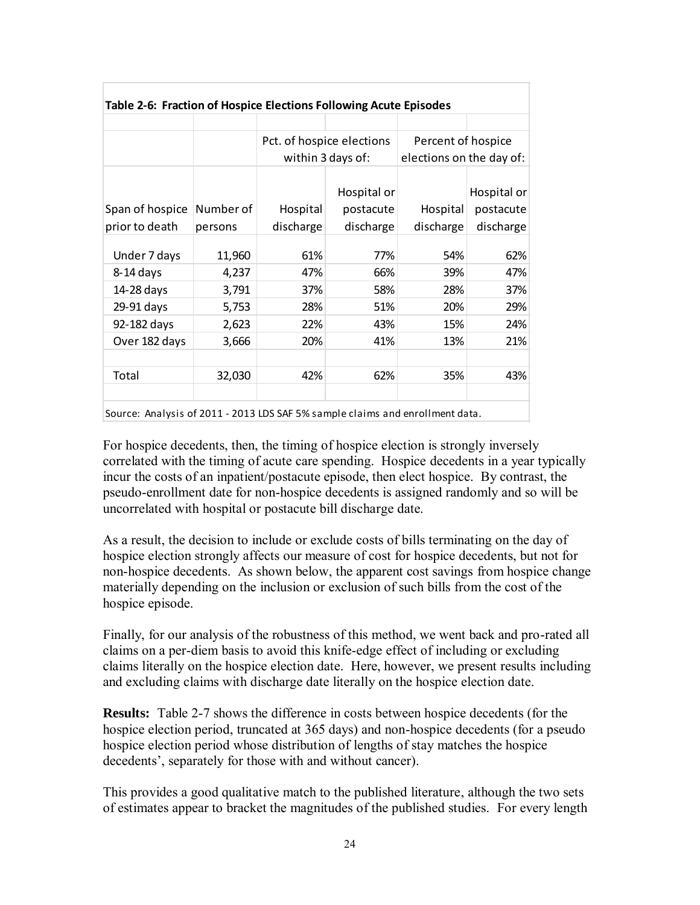| Table 2-6: Fraction of Hospice Elections Following Acute Episodes |           |                           |                   |                          |             |  |  |  |  |  |
|-------------------------------------------------------------------|-----------|---------------------------|-------------------|--------------------------|-------------|--|--|--|--|--|
|                                                                   |           |                           |                   |                          |             |  |  |  |  |  |
|                                                                   |           | Pct. of hospice elections |                   | Percent of hospice       |             |  |  |  |  |  |
|                                                                   |           |                           | within 3 days of: | elections on the day of: |             |  |  |  |  |  |
|                                                                   |           |                           |                   |                          |             |  |  |  |  |  |
|                                                                   |           |                           | Hospital or       |                          | Hospital or |  |  |  |  |  |
| Span of hospice                                                   | Number of | Hospital                  | postacute         | Hospital                 | postacute   |  |  |  |  |  |
| prior to death                                                    | persons   | discharge                 | discharge         | discharge                | discharge   |  |  |  |  |  |
|                                                                   |           |                           |                   |                          |             |  |  |  |  |  |
| Under 7 days                                                      | 11,960    | 61%                       | 77%               | 54%                      | 62%         |  |  |  |  |  |
| 8-14 days                                                         | 4,237     | 47%                       | 66%               | 39%                      | 47%         |  |  |  |  |  |
| 14-28 days                                                        | 3,791     | 37%                       | 58%               | 28%                      | 37%         |  |  |  |  |  |
| 29-91 days                                                        | 5,753     | 28%                       | 51%               | 20%                      | 29%         |  |  |  |  |  |
| 92-182 days                                                       | 2,623     | 22%                       | 43%               | 15%                      | 24%         |  |  |  |  |  |
| Over 182 days                                                     | 3,666     | 20%                       | 41%               | 13%                      | 21%         |  |  |  |  |  |
|                                                                   |           |                           |                   |                          |             |  |  |  |  |  |
| Total                                                             | 32,030    | 42%                       | 62%               | 35%                      | 43%         |  |  |  |  |  |
|                                                                   |           |                           |                   |                          |             |  |  |  |  |  |
|                                                                   |           |                           |                   |                          |             |  |  |  |  |  |

Source: Analysis of 2011 - 2013 LDS SAF 5% sample claims and enrollment data.

For hospice decedents, then, the timing of hospice election is strongly inversely correlated with the timing of acute care spending. Hospice decedents in a year typically incur the costs of an inpatient/postacute episode, then elect hospice. By contrast, the pseudo-enrollment date for non-hospice decedents is assigned randomly and so will be uncorrelated with hospital or postacute bill discharge date.

As a result, the decision to include or exclude costs of bills terminating on the day of hospice election strongly affects our measure of cost for hospice decedents, but not for non-hospice decedents. As shown below, the apparent cost savings from hospice change materially depending on the inclusion or exclusion of such bills from the cost of the hospice episode.

Finally, for our analysis of the robustness of this method, we went back and pro-rated all claims on a per-diem basis to avoid this knife-edge effect of including or excluding claims literally on the hospice election date. Here, however, we present results including and excluding claims with discharge date literally on the hospice election date.

**Results:** Table 2-7 shows the difference in costs between hospice decedents (for the hospice election period, truncated at 365 days) and non-hospice decedents (for a pseudo hospice election period whose distribution of lengths of stay matches the hospice decedents', separately for those with and without cancer).

This provides a good qualitative match to the published literature, although the two sets of estimates appear to bracket the magnitudes of the published studies. For every length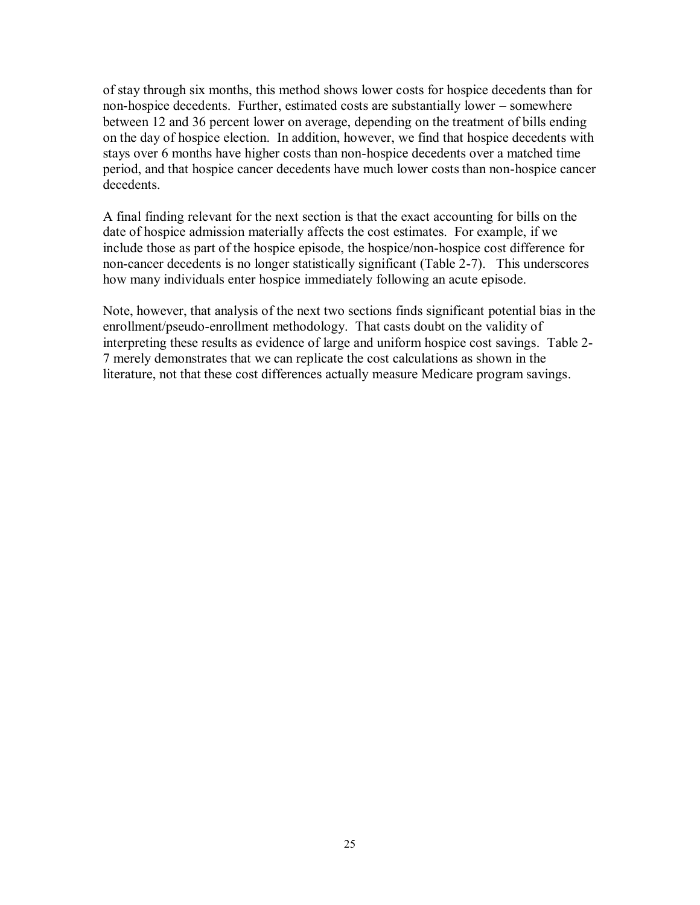of stay through six months, this method shows lower costs for hospice decedents than for non-hospice decedents. Further, estimated costs are substantially lower – somewhere between 12 and 36 percent lower on average, depending on the treatment of bills ending on the day of hospice election. In addition, however, we find that hospice decedents with stays over 6 months have higher costs than non-hospice decedents over a matched time period, and that hospice cancer decedents have much lower costs than non-hospice cancer decedents.

A final finding relevant for the next section is that the exact accounting for bills on the date of hospice admission materially affects the cost estimates. For example, if we include those as part of the hospice episode, the hospice/non-hospice cost difference for non-cancer decedents is no longer statistically significant (Table 2-7). This underscores how many individuals enter hospice immediately following an acute episode.

Note, however, that analysis of the next two sections finds significant potential bias in the enrollment/pseudo-enrollment methodology. That casts doubt on the validity of interpreting these results as evidence of large and uniform hospice cost savings. Table 2- 7 merely demonstrates that we can replicate the cost calculations as shown in the literature, not that these cost differences actually measure Medicare program savings.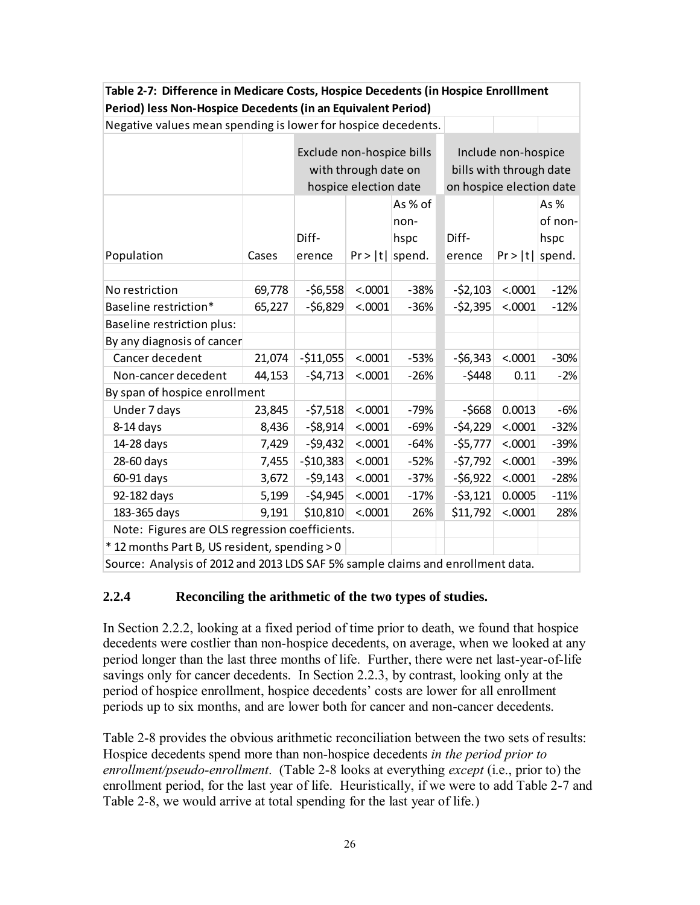| Period) less Non-Hospice Decedents (in an Equivalent Period)                    |                           |            |                       |         |                          |                         |         |  |  |  |
|---------------------------------------------------------------------------------|---------------------------|------------|-----------------------|---------|--------------------------|-------------------------|---------|--|--|--|
| Negative values mean spending is lower for hospice decedents.                   |                           |            |                       |         |                          |                         |         |  |  |  |
|                                                                                 | Exclude non-hospice bills |            |                       |         |                          |                         |         |  |  |  |
|                                                                                 |                           |            |                       |         |                          | Include non-hospice     |         |  |  |  |
|                                                                                 |                           |            | with through date on  |         |                          | bills with through date |         |  |  |  |
|                                                                                 |                           |            | hospice election date |         | on hospice election date |                         |         |  |  |  |
|                                                                                 |                           |            |                       | As % of |                          |                         | As%     |  |  |  |
|                                                                                 |                           |            |                       | non-    |                          |                         | of non- |  |  |  |
|                                                                                 |                           | Diff-      |                       | hspc    | Diff-                    |                         | hspc    |  |  |  |
| Population                                                                      | Cases                     | erence     | Pr >  t               | spend.  | erence                   | $Pr >  t $ spend.       |         |  |  |  |
|                                                                                 |                           |            |                       |         |                          |                         |         |  |  |  |
| No restriction                                                                  | 69,778                    | $-56,558$  | < .0001               | $-38%$  | $-52,103$                | < .0001                 | $-12%$  |  |  |  |
| Baseline restriction*                                                           | 65,227                    | $-56,829$  | < .0001               | $-36%$  | $-52,395$                | < .0001                 | $-12%$  |  |  |  |
| <b>Baseline restriction plus:</b>                                               |                           |            |                       |         |                          |                         |         |  |  |  |
| By any diagnosis of cancer                                                      |                           |            |                       |         |                          |                         |         |  |  |  |
| Cancer decedent                                                                 | 21,074                    | $-511,055$ | < .0001               | $-53%$  | $-56,343$                | < .0001                 | $-30%$  |  |  |  |
| Non-cancer decedent                                                             | 44,153                    | $-54,713$  | < .0001               | $-26%$  | $-5448$                  | 0.11                    | $-2%$   |  |  |  |
| By span of hospice enrollment                                                   |                           |            |                       |         |                          |                         |         |  |  |  |
| Under 7 days                                                                    | 23,845                    | $-57,518$  | < .0001               | $-79%$  | $-5668$                  | 0.0013                  | $-6%$   |  |  |  |
| 8-14 days                                                                       | 8,436                     | $-58,914$  | < .0001               | $-69%$  | $-54,229$                | < .0001                 | $-32%$  |  |  |  |
| 14-28 days                                                                      | 7,429                     | $-59,432$  | < .0001               | $-64%$  | $-55,777$                | < .0001                 | $-39%$  |  |  |  |
| 28-60 days                                                                      | 7,455                     | $-510,383$ | < .0001               | $-52%$  | $-57,792$                | < .0001                 | $-39%$  |  |  |  |
| 60-91 days                                                                      | 3,672                     | $-59,143$  | < .0001               | $-37%$  | $-56,922$                | < .0001                 | $-28%$  |  |  |  |
| 92-182 days                                                                     | 5,199                     | $-54,945$  | < .0001               | $-17%$  | $-53,121$                | 0.0005                  | $-11%$  |  |  |  |
| 183-365 days                                                                    | 9,191                     | \$10,810   | < .0001               | 26%     | \$11,792                 | < .0001                 | 28%     |  |  |  |
| Note: Figures are OLS regression coefficients.                                  |                           |            |                       |         |                          |                         |         |  |  |  |
| * 12 months Part B, US resident, spending > 0                                   |                           |            |                       |         |                          |                         |         |  |  |  |
| Source: Analysis of 2012 and 2013 LDS SAF 5% sample claims and enrollment data. |                           |            |                       |         |                          |                         |         |  |  |  |

**Table 2-7: Difference in Medicare Costs, Hospice Decedents (in Hospice Enrolllment** 

#### **2.2.4 Reconciling the arithmetic of the two types of studies.**

In Section 2.2.2, looking at a fixed period of time prior to death, we found that hospice decedents were costlier than non-hospice decedents, on average, when we looked at any period longer than the last three months of life. Further, there were net last-year-of-life savings only for cancer decedents. In Section 2.2.3, by contrast, looking only at the period of hospice enrollment, hospice decedents' costs are lower for all enrollment periods up to six months, and are lower both for cancer and non-cancer decedents.

Table 2-8 provides the obvious arithmetic reconciliation between the two sets of results: Hospice decedents spend more than non-hospice decedents *in the period prior to enrollment/pseudo-enrollment*. (Table 2-8 looks at everything *except* (i.e., prior to) the enrollment period, for the last year of life. Heuristically, if we were to add Table 2-7 and Table 2-8, we would arrive at total spending for the last year of life.)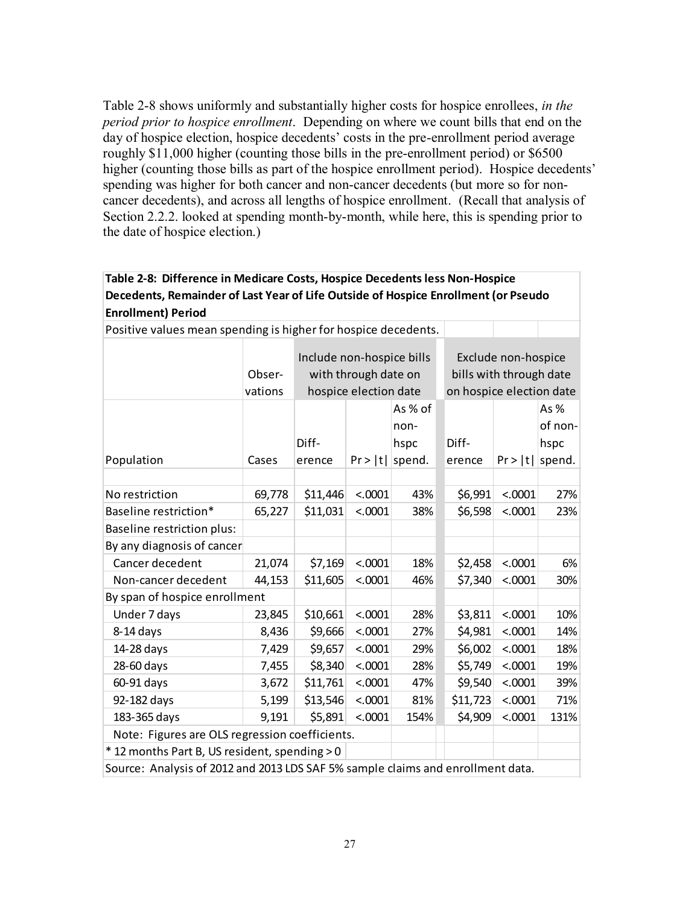Table 2-8 shows uniformly and substantially higher costs for hospice enrollees, *in the period prior to hospice enrollment*. Depending on where we count bills that end on the day of hospice election, hospice decedents' costs in the pre-enrollment period average roughly \$11,000 higher (counting those bills in the pre-enrollment period) or \$6500 higher (counting those bills as part of the hospice enrollment period). Hospice decedents' spending was higher for both cancer and non-cancer decedents (but more so for noncancer decedents), and across all lengths of hospice enrollment. (Recall that analysis of Section 2.2.2. looked at spending month-by-month, while here, this is spending prior to the date of hospice election.)

| Table 2-0. Difference in integratore costs, hospite becedents ress non-hospite                                  |                   |                                                                            |         |                                   |                                                                            |         |                                  |  |  |  |  |
|-----------------------------------------------------------------------------------------------------------------|-------------------|----------------------------------------------------------------------------|---------|-----------------------------------|----------------------------------------------------------------------------|---------|----------------------------------|--|--|--|--|
| Decedents, Remainder of Last Year of Life Outside of Hospice Enrollment (or Pseudo<br><b>Enrollment) Period</b> |                   |                                                                            |         |                                   |                                                                            |         |                                  |  |  |  |  |
| Positive values mean spending is higher for hospice decedents.                                                  |                   |                                                                            |         |                                   |                                                                            |         |                                  |  |  |  |  |
|                                                                                                                 | Obser-<br>vations | Include non-hospice bills<br>with through date on<br>hospice election date |         |                                   | Exclude non-hospice<br>bills with through date<br>on hospice election date |         |                                  |  |  |  |  |
| Population                                                                                                      | Cases             | Diff-<br>erence                                                            | Pr >  t | As % of<br>non-<br>hspc<br>spend. | Diff-<br>erence                                                            | Pr >  t | As%<br>of non-<br>hspc<br>spend. |  |  |  |  |
| No restriction                                                                                                  | 69,778            | \$11,446                                                                   | < .0001 | 43%                               | \$6,991                                                                    | < .0001 | 27%                              |  |  |  |  |
| Baseline restriction*                                                                                           | 65,227            | \$11,031                                                                   | < .0001 | 38%                               | \$6,598                                                                    | < .0001 | 23%                              |  |  |  |  |
| Baseline restriction plus:                                                                                      |                   |                                                                            |         |                                   |                                                                            |         |                                  |  |  |  |  |
| By any diagnosis of cancer                                                                                      |                   |                                                                            |         |                                   |                                                                            |         |                                  |  |  |  |  |
| Cancer decedent                                                                                                 | 21,074            | \$7,169                                                                    | < .0001 | 18%                               | \$2,458                                                                    | < .0001 | 6%                               |  |  |  |  |
| Non-cancer decedent                                                                                             | 44,153            | \$11,605                                                                   | < .0001 | 46%                               | \$7,340                                                                    | < .0001 | 30%                              |  |  |  |  |
| By span of hospice enrollment                                                                                   |                   |                                                                            |         |                                   |                                                                            |         |                                  |  |  |  |  |
| Under 7 days                                                                                                    | 23,845            | \$10,661                                                                   | < .0001 | 28%                               | \$3,811                                                                    | < .0001 | 10%                              |  |  |  |  |
| $8-14$ days                                                                                                     | 8,436             | \$9,666                                                                    | < .0001 | 27%                               | \$4,981                                                                    | < .0001 | 14%                              |  |  |  |  |
| 14-28 days                                                                                                      | 7,429             | \$9,657                                                                    | < .0001 | 29%                               | \$6,002                                                                    | < .0001 | 18%                              |  |  |  |  |
| 28-60 days                                                                                                      | 7,455             | \$8,340                                                                    | < .0001 | 28%                               | \$5,749                                                                    | < .0001 | 19%                              |  |  |  |  |
| 60-91 days                                                                                                      | 3,672             | \$11,761                                                                   | < .0001 | 47%                               | \$9,540                                                                    | < .0001 | 39%                              |  |  |  |  |
| 92-182 days                                                                                                     | 5,199             | \$13,546                                                                   | < .0001 | 81%                               | \$11,723                                                                   | < .0001 | 71%                              |  |  |  |  |
| 183-365 days                                                                                                    | 9,191             | \$5,891                                                                    | < .0001 | 154%                              | \$4,909                                                                    | < .0001 | 131%                             |  |  |  |  |
| Note: Figures are OLS regression coefficients.                                                                  |                   |                                                                            |         |                                   |                                                                            |         |                                  |  |  |  |  |
| *12 months Part B, US resident, spending > 0                                                                    |                   |                                                                            |         |                                   |                                                                            |         |                                  |  |  |  |  |
| Source: Analysis of 2012 and 2013 LDS SAF 5% sample claims and enrollment data.                                 |                   |                                                                            |         |                                   |                                                                            |         |                                  |  |  |  |  |

# **Table 2-8: Difference in Medicare Costs, Hospice Decedents less Non-Hospice**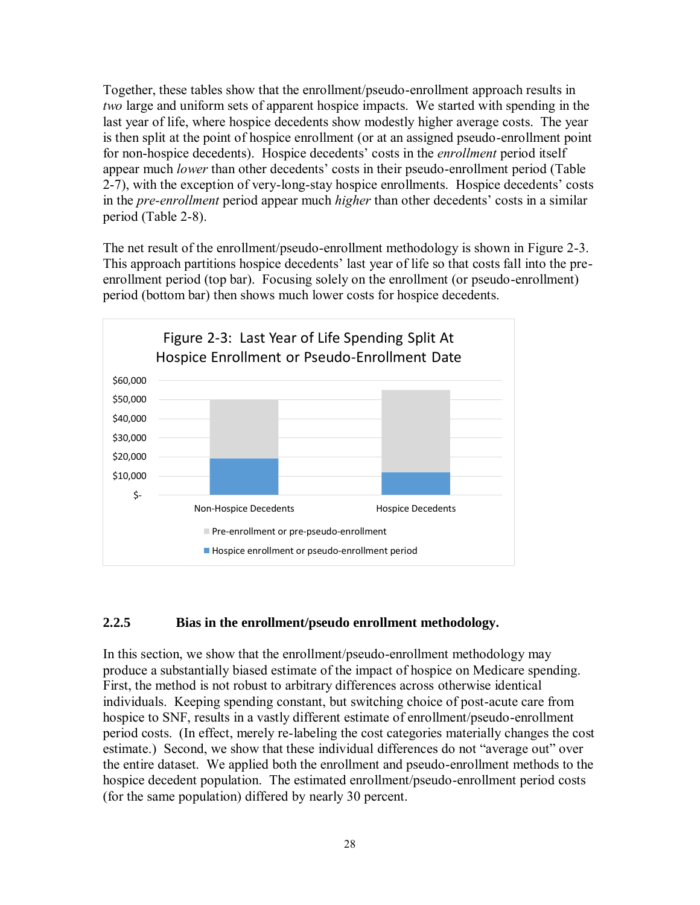Together, these tables show that the enrollment/pseudo-enrollment approach results in *two* large and uniform sets of apparent hospice impacts. We started with spending in the last year of life, where hospice decedents show modestly higher average costs. The year is then split at the point of hospice enrollment (or at an assigned pseudo-enrollment point for non-hospice decedents). Hospice decedents' costs in the *enrollment* period itself appear much *lower* than other decedents' costs in their pseudo-enrollment period (Table 2-7), with the exception of very-long-stay hospice enrollments. Hospice decedents' costs in the *pre-enrollment* period appear much *higher* than other decedents' costs in a similar period (Table 2-8).

The net result of the enrollment/pseudo-enrollment methodology is shown in Figure 2-3. This approach partitions hospice decedents' last year of life so that costs fall into the preenrollment period (top bar). Focusing solely on the enrollment (or pseudo-enrollment) period (bottom bar) then shows much lower costs for hospice decedents.



# **2.2.5 Bias in the enrollment/pseudo enrollment methodology.**

In this section, we show that the enrollment/pseudo-enrollment methodology may produce a substantially biased estimate of the impact of hospice on Medicare spending. First, the method is not robust to arbitrary differences across otherwise identical individuals. Keeping spending constant, but switching choice of post-acute care from hospice to SNF, results in a vastly different estimate of enrollment/pseudo-enrollment period costs. (In effect, merely re-labeling the cost categories materially changes the cost estimate.) Second, we show that these individual differences do not "average out" over the entire dataset. We applied both the enrollment and pseudo-enrollment methods to the hospice decedent population. The estimated enrollment/pseudo-enrollment period costs (for the same population) differed by nearly 30 percent.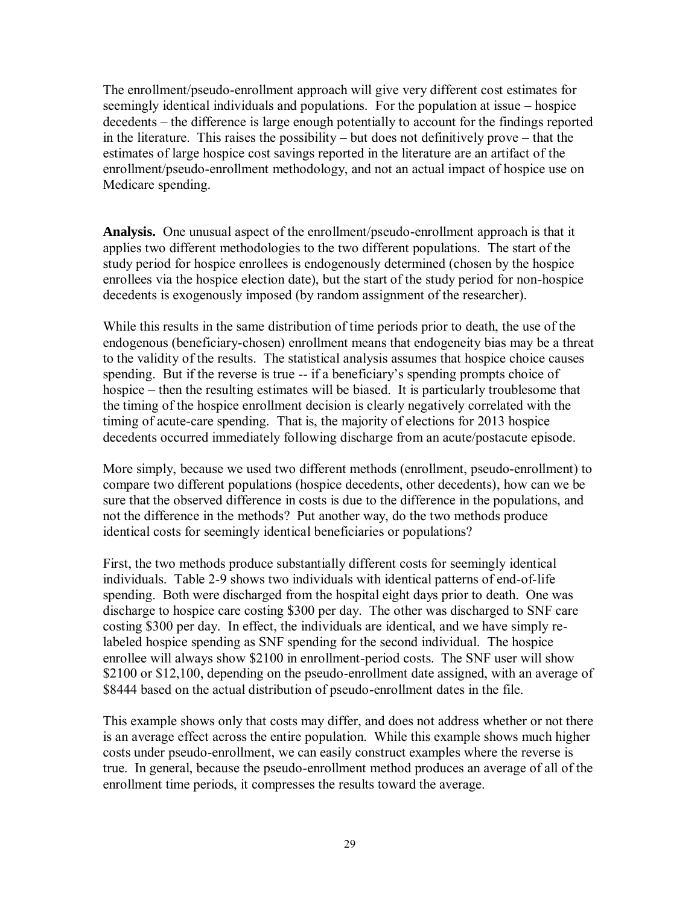The enrollment/pseudo-enrollment approach will give very different cost estimates for seemingly identical individuals and populations. For the population at issue – hospice decedents – the difference is large enough potentially to account for the findings reported in the literature. This raises the possibility – but does not definitively prove – that the estimates of large hospice cost savings reported in the literature are an artifact of the enrollment/pseudo-enrollment methodology, and not an actual impact of hospice use on Medicare spending.

**Analysis.** One unusual aspect of the enrollment/pseudo-enrollment approach is that it applies two different methodologies to the two different populations. The start of the study period for hospice enrollees is endogenously determined (chosen by the hospice enrollees via the hospice election date), but the start of the study period for non-hospice decedents is exogenously imposed (by random assignment of the researcher).

While this results in the same distribution of time periods prior to death, the use of the endogenous (beneficiary-chosen) enrollment means that endogeneity bias may be a threat to the validity of the results. The statistical analysis assumes that hospice choice causes spending. But if the reverse is true -- if a beneficiary's spending prompts choice of hospice – then the resulting estimates will be biased. It is particularly troublesome that the timing of the hospice enrollment decision is clearly negatively correlated with the timing of acute-care spending. That is, the majority of elections for 2013 hospice decedents occurred immediately following discharge from an acute/postacute episode.

More simply, because we used two different methods (enrollment, pseudo-enrollment) to compare two different populations (hospice decedents, other decedents), how can we be sure that the observed difference in costs is due to the difference in the populations, and not the difference in the methods? Put another way, do the two methods produce identical costs for seemingly identical beneficiaries or populations?

First, the two methods produce substantially different costs for seemingly identical individuals. Table 2-9 shows two individuals with identical patterns of end-of-life spending. Both were discharged from the hospital eight days prior to death. One was discharge to hospice care costing \$300 per day. The other was discharged to SNF care costing \$300 per day. In effect, the individuals are identical, and we have simply relabeled hospice spending as SNF spending for the second individual. The hospice enrollee will always show \$2100 in enrollment-period costs. The SNF user will show \$2100 or \$12,100, depending on the pseudo-enrollment date assigned, with an average of \$8444 based on the actual distribution of pseudo-enrollment dates in the file.

This example shows only that costs may differ, and does not address whether or not there is an average effect across the entire population. While this example shows much higher costs under pseudo-enrollment, we can easily construct examples where the reverse is true. In general, because the pseudo-enrollment method produces an average of all of the enrollment time periods, it compresses the results toward the average.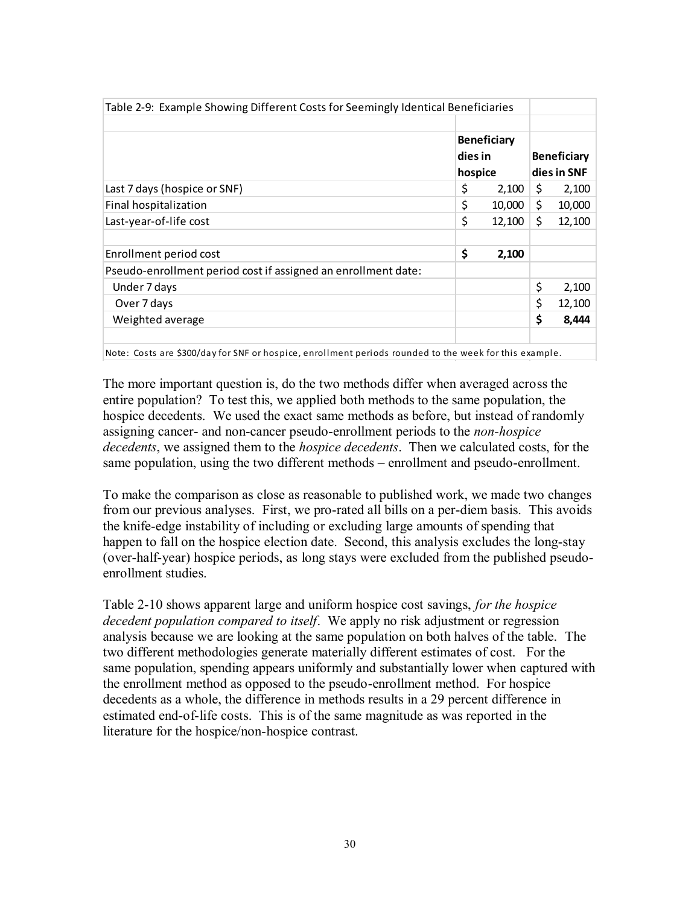| Table 2-9: Example Showing Different Costs for Seemingly Identical Beneficiaries                    |                                          |        |     |                                   |
|-----------------------------------------------------------------------------------------------------|------------------------------------------|--------|-----|-----------------------------------|
|                                                                                                     | <b>Beneficiary</b><br>dies in<br>hospice |        |     | <b>Beneficiary</b><br>dies in SNF |
| Last 7 days (hospice or SNF)                                                                        | \$                                       | 2,100  | S   | 2,100                             |
| Final hospitalization                                                                               | \$                                       | 10,000 | \$  | 10,000                            |
| Last-year-of-life cost                                                                              | \$                                       | 12,100 | \$. | 12,100                            |
| Enrollment period cost                                                                              | \$                                       | 2,100  |     |                                   |
| Pseudo-enrollment period cost if assigned an enrollment date:                                       |                                          |        |     |                                   |
| Under 7 days                                                                                        |                                          |        | \$  | 2,100                             |
| Over 7 days                                                                                         |                                          |        | \$  | 12,100                            |
| Weighted average                                                                                    |                                          |        | \$  | 8,444                             |
| Nata: Caste are C200/day for CNE ar haspies aprollment pariade revaded to the weak for this sysmals |                                          |        |     |                                   |

Note: Costs are \$300/day for SNF or hospice, enrollment periods rounded to the week for this example.

The more important question is, do the two methods differ when averaged across the entire population? To test this, we applied both methods to the same population, the hospice decedents. We used the exact same methods as before, but instead of randomly assigning cancer- and non-cancer pseudo-enrollment periods to the *non-hospice decedents*, we assigned them to the *hospice decedents*. Then we calculated costs, for the same population, using the two different methods – enrollment and pseudo-enrollment.

To make the comparison as close as reasonable to published work, we made two changes from our previous analyses. First, we pro-rated all bills on a per-diem basis. This avoids the knife-edge instability of including or excluding large amounts of spending that happen to fall on the hospice election date. Second, this analysis excludes the long-stay (over-half-year) hospice periods, as long stays were excluded from the published pseudoenrollment studies.

Table 2-10 shows apparent large and uniform hospice cost savings, *for the hospice decedent population compared to itself*. We apply no risk adjustment or regression analysis because we are looking at the same population on both halves of the table. The two different methodologies generate materially different estimates of cost. For the same population, spending appears uniformly and substantially lower when captured with the enrollment method as opposed to the pseudo-enrollment method. For hospice decedents as a whole, the difference in methods results in a 29 percent difference in estimated end-of-life costs. This is of the same magnitude as was reported in the literature for the hospice/non-hospice contrast.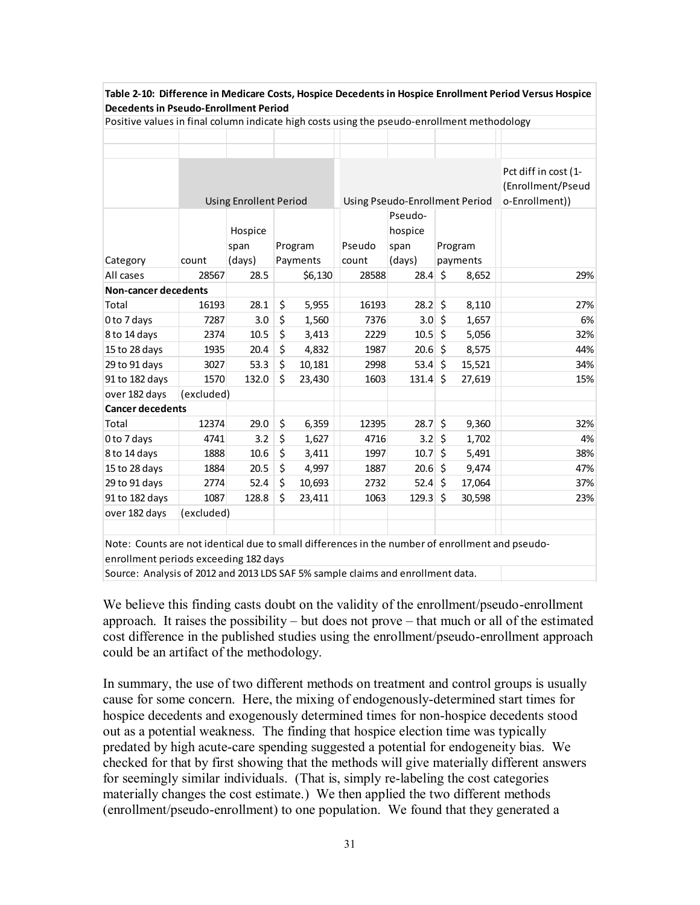| Table 2-10: Difference in Medicare Costs, Hospice Decedents in Hospice Enrollment Period Versus Hospice |            |                               |    |          |                                |                   |          |        |                                                             |
|---------------------------------------------------------------------------------------------------------|------------|-------------------------------|----|----------|--------------------------------|-------------------|----------|--------|-------------------------------------------------------------|
| <b>Decedents in Pseudo-Enrollment Period</b>                                                            |            |                               |    |          |                                |                   |          |        |                                                             |
| Positive values in final column indicate high costs using the pseudo-enrollment methodology             |            |                               |    |          |                                |                   |          |        |                                                             |
|                                                                                                         |            |                               |    |          |                                |                   |          |        |                                                             |
|                                                                                                         |            |                               |    |          |                                |                   |          |        |                                                             |
|                                                                                                         |            | <b>Using Enrollent Period</b> |    |          | Using Pseudo-Enrollment Period |                   |          |        | Pct diff in cost (1-<br>(Enrollment/Pseud<br>o-Enrollment)) |
|                                                                                                         |            |                               |    |          |                                | Pseudo-           |          |        |                                                             |
|                                                                                                         |            | Hospice                       |    |          |                                | hospice           |          |        |                                                             |
|                                                                                                         |            | span                          |    | Program  | Pseudo                         | span              | Program  |        |                                                             |
| Category                                                                                                | count      | (days)                        |    | Payments | count                          | (days)            | payments |        |                                                             |
| All cases                                                                                               | 28567      | 28.5                          |    | \$6,130  | 28588                          | 28.4              | $\zeta$  | 8,652  | 29%                                                         |
| <b>Non-cancer decedents</b>                                                                             |            |                               |    |          |                                |                   |          |        |                                                             |
| Total                                                                                                   | 16193      | 28.1                          | \$ | 5,955    | 16193                          | $28.2 \div$       |          | 8,110  | 27%                                                         |
| 0 to 7 days                                                                                             | 7287       | 3.0                           | \$ | 1,560    | 7376                           | $3.0 \,$ \$       |          | 1,657  | 6%                                                          |
| 8 to 14 days                                                                                            | 2374       | 10.5                          | \$ | 3,413    | 2229                           | $10.5$ \$         |          | 5,056  | 32%                                                         |
| 15 to 28 days                                                                                           | 1935       | 20.4                          | \$ | 4,832    | 1987                           | $20.6$ \$         |          | 8,575  | 44%                                                         |
| 29 to 91 days                                                                                           | 3027       | 53.3                          | \$ | 10,181   | 2998                           | $53.4 \S$         |          | 15,521 | 34%                                                         |
| 91 to 182 days                                                                                          | 1570       | 132.0                         | Ś  | 23,430   | 1603                           | 131.4             | \$       | 27,619 | 15%                                                         |
| over 182 days                                                                                           | (excluded) |                               |    |          |                                |                   |          |        |                                                             |
| <b>Cancer decedents</b>                                                                                 |            |                               |    |          |                                |                   |          |        |                                                             |
| Total                                                                                                   | 12374      | 29.0                          | \$ | 6,359    | 12395                          | $28.7\frac{1}{5}$ |          | 9,360  | 32%                                                         |
| 0 to 7 days                                                                                             | 4741       | 3.2                           | \$ | 1,627    | 4716                           | $3.2 \,$ \$       |          | 1,702  | 4%                                                          |
| 8 to 14 days                                                                                            | 1888       | 10.6                          | \$ | 3,411    | 1997                           | $10.7$ \$         |          | 5,491  | 38%                                                         |
| 15 to 28 days                                                                                           | 1884       | 20.5                          | \$ | 4,997    | 1887                           | $20.6$ \$         |          | 9,474  | 47%                                                         |
| 29 to 91 days                                                                                           | 2774       | 52.4                          | \$ | 10,693   | 2732                           | $52.4 \pm 5$      |          | 17,064 | 37%                                                         |
| 91 to 182 days                                                                                          | 1087       | 128.8                         | \$ | 23,411   | 1063                           | 129.3             | Ŝ.       | 30,598 | 23%                                                         |
| over 182 days                                                                                           | (excluded) |                               |    |          |                                |                   |          |        |                                                             |
|                                                                                                         |            |                               |    |          |                                |                   |          |        |                                                             |
| Note: Counts are not identical due to small differences in the number of enrollment and pseudo-         |            |                               |    |          |                                |                   |          |        |                                                             |
| enrollment periods exceeding 182 days                                                                   |            |                               |    |          |                                |                   |          |        |                                                             |
| Source: Analysis of 2012 and 2013 LDS SAF 5% sample claims and enrollment data.                         |            |                               |    |          |                                |                   |          |        |                                                             |

We believe this finding casts doubt on the validity of the enrollment/pseudo-enrollment

approach. It raises the possibility – but does not prove – that much or all of the estimated cost difference in the published studies using the enrollment/pseudo-enrollment approach could be an artifact of the methodology.

In summary, the use of two different methods on treatment and control groups is usually cause for some concern. Here, the mixing of endogenously-determined start times for hospice decedents and exogenously determined times for non-hospice decedents stood out as a potential weakness. The finding that hospice election time was typically predated by high acute-care spending suggested a potential for endogeneity bias. We checked for that by first showing that the methods will give materially different answers for seemingly similar individuals. (That is, simply re-labeling the cost categories materially changes the cost estimate.) We then applied the two different methods (enrollment/pseudo-enrollment) to one population. We found that they generated a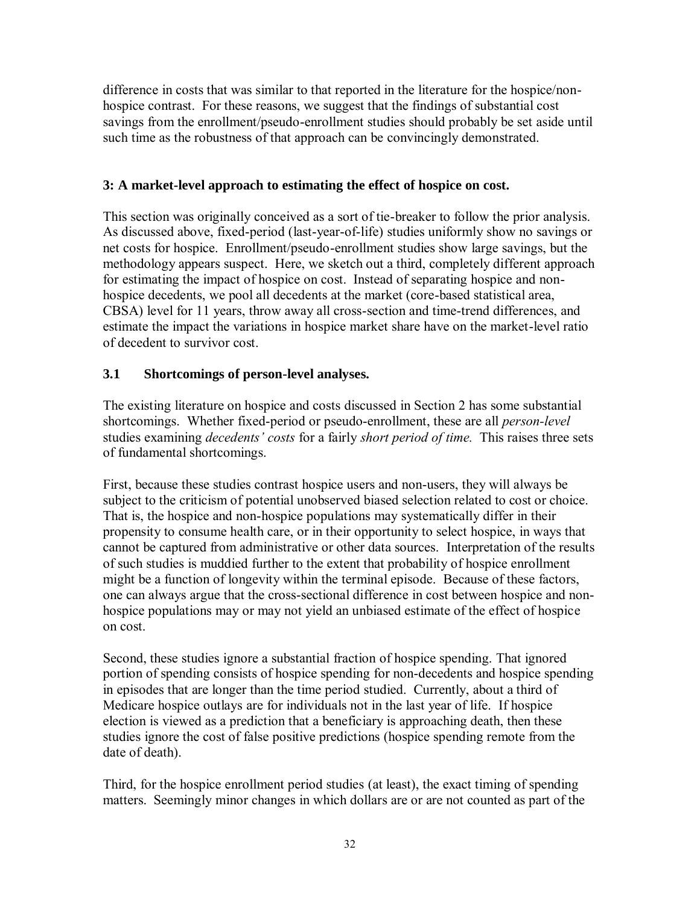difference in costs that was similar to that reported in the literature for the hospice/nonhospice contrast. For these reasons, we suggest that the findings of substantial cost savings from the enrollment/pseudo-enrollment studies should probably be set aside until such time as the robustness of that approach can be convincingly demonstrated.

# **3: A market-level approach to estimating the effect of hospice on cost.**

This section was originally conceived as a sort of tie-breaker to follow the prior analysis. As discussed above, fixed-period (last-year-of-life) studies uniformly show no savings or net costs for hospice. Enrollment/pseudo-enrollment studies show large savings, but the methodology appears suspect. Here, we sketch out a third, completely different approach for estimating the impact of hospice on cost. Instead of separating hospice and nonhospice decedents, we pool all decedents at the market (core-based statistical area, CBSA) level for 11 years, throw away all cross-section and time-trend differences, and estimate the impact the variations in hospice market share have on the market-level ratio of decedent to survivor cost.

# **3.1 Shortcomings of person-level analyses.**

The existing literature on hospice and costs discussed in Section 2 has some substantial shortcomings. Whether fixed-period or pseudo-enrollment, these are all *person-level* studies examining *decedents' costs* for a fairly *short period of time.* This raises three sets of fundamental shortcomings.

First, because these studies contrast hospice users and non-users, they will always be subject to the criticism of potential unobserved biased selection related to cost or choice. That is, the hospice and non-hospice populations may systematically differ in their propensity to consume health care, or in their opportunity to select hospice, in ways that cannot be captured from administrative or other data sources. Interpretation of the results of such studies is muddied further to the extent that probability of hospice enrollment might be a function of longevity within the terminal episode. Because of these factors, one can always argue that the cross-sectional difference in cost between hospice and nonhospice populations may or may not yield an unbiased estimate of the effect of hospice on cost.

Second, these studies ignore a substantial fraction of hospice spending. That ignored portion of spending consists of hospice spending for non-decedents and hospice spending in episodes that are longer than the time period studied. Currently, about a third of Medicare hospice outlays are for individuals not in the last year of life. If hospice election is viewed as a prediction that a beneficiary is approaching death, then these studies ignore the cost of false positive predictions (hospice spending remote from the date of death).

Third, for the hospice enrollment period studies (at least), the exact timing of spending matters. Seemingly minor changes in which dollars are or are not counted as part of the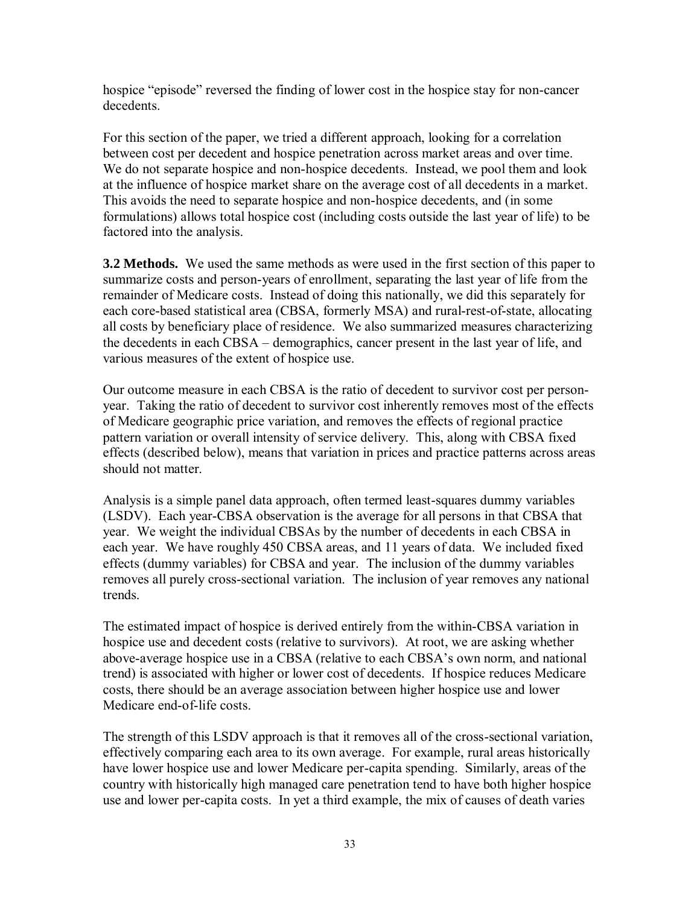hospice "episode" reversed the finding of lower cost in the hospice stay for non-cancer decedents.

For this section of the paper, we tried a different approach, looking for a correlation between cost per decedent and hospice penetration across market areas and over time. We do not separate hospice and non-hospice decedents. Instead, we pool them and look at the influence of hospice market share on the average cost of all decedents in a market. This avoids the need to separate hospice and non-hospice decedents, and (in some formulations) allows total hospice cost (including costs outside the last year of life) to be factored into the analysis.

**3.2 Methods.** We used the same methods as were used in the first section of this paper to summarize costs and person-years of enrollment, separating the last year of life from the remainder of Medicare costs. Instead of doing this nationally, we did this separately for each core-based statistical area (CBSA, formerly MSA) and rural-rest-of-state, allocating all costs by beneficiary place of residence. We also summarized measures characterizing the decedents in each CBSA – demographics, cancer present in the last year of life, and various measures of the extent of hospice use.

Our outcome measure in each CBSA is the ratio of decedent to survivor cost per personyear. Taking the ratio of decedent to survivor cost inherently removes most of the effects of Medicare geographic price variation, and removes the effects of regional practice pattern variation or overall intensity of service delivery. This, along with CBSA fixed effects (described below), means that variation in prices and practice patterns across areas should not matter.

Analysis is a simple panel data approach, often termed least-squares dummy variables (LSDV). Each year-CBSA observation is the average for all persons in that CBSA that year. We weight the individual CBSAs by the number of decedents in each CBSA in each year. We have roughly 450 CBSA areas, and 11 years of data. We included fixed effects (dummy variables) for CBSA and year. The inclusion of the dummy variables removes all purely cross-sectional variation. The inclusion of year removes any national trends.

The estimated impact of hospice is derived entirely from the within-CBSA variation in hospice use and decedent costs (relative to survivors). At root, we are asking whether above-average hospice use in a CBSA (relative to each CBSA's own norm, and national trend) is associated with higher or lower cost of decedents. If hospice reduces Medicare costs, there should be an average association between higher hospice use and lower Medicare end-of-life costs.

The strength of this LSDV approach is that it removes all of the cross-sectional variation, effectively comparing each area to its own average. For example, rural areas historically have lower hospice use and lower Medicare per-capita spending. Similarly, areas of the country with historically high managed care penetration tend to have both higher hospice use and lower per-capita costs. In yet a third example, the mix of causes of death varies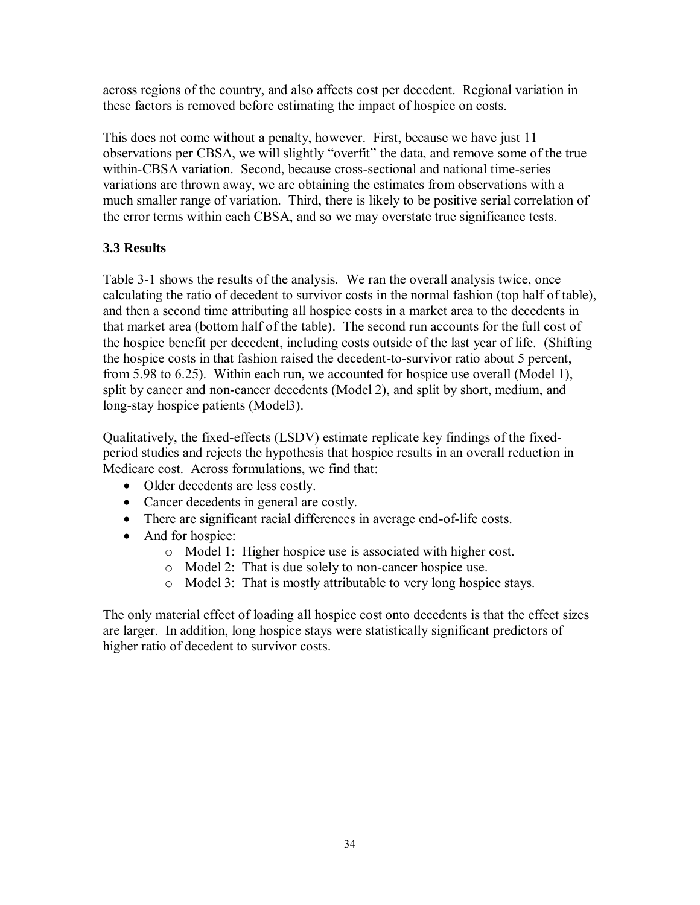across regions of the country, and also affects cost per decedent. Regional variation in these factors is removed before estimating the impact of hospice on costs.

This does not come without a penalty, however. First, because we have just 11 observations per CBSA, we will slightly "overfit" the data, and remove some of the true within-CBSA variation. Second, because cross-sectional and national time-series variations are thrown away, we are obtaining the estimates from observations with a much smaller range of variation. Third, there is likely to be positive serial correlation of the error terms within each CBSA, and so we may overstate true significance tests.

# **3.3 Results**

Table 3-1 shows the results of the analysis. We ran the overall analysis twice, once calculating the ratio of decedent to survivor costs in the normal fashion (top half of table), and then a second time attributing all hospice costs in a market area to the decedents in that market area (bottom half of the table). The second run accounts for the full cost of the hospice benefit per decedent, including costs outside of the last year of life. (Shifting the hospice costs in that fashion raised the decedent-to-survivor ratio about 5 percent, from 5.98 to 6.25). Within each run, we accounted for hospice use overall (Model 1), split by cancer and non-cancer decedents (Model 2), and split by short, medium, and long-stay hospice patients (Model3).

Qualitatively, the fixed-effects (LSDV) estimate replicate key findings of the fixedperiod studies and rejects the hypothesis that hospice results in an overall reduction in Medicare cost. Across formulations, we find that:

- Older decedents are less costly.
- Cancer decedents in general are costly.
- There are significant racial differences in average end-of-life costs.
- And for hospice:
	- o Model 1: Higher hospice use is associated with higher cost.
	- o Model 2: That is due solely to non-cancer hospice use.
	- o Model 3: That is mostly attributable to very long hospice stays.

The only material effect of loading all hospice cost onto decedents is that the effect sizes are larger. In addition, long hospice stays were statistically significant predictors of higher ratio of decedent to survivor costs.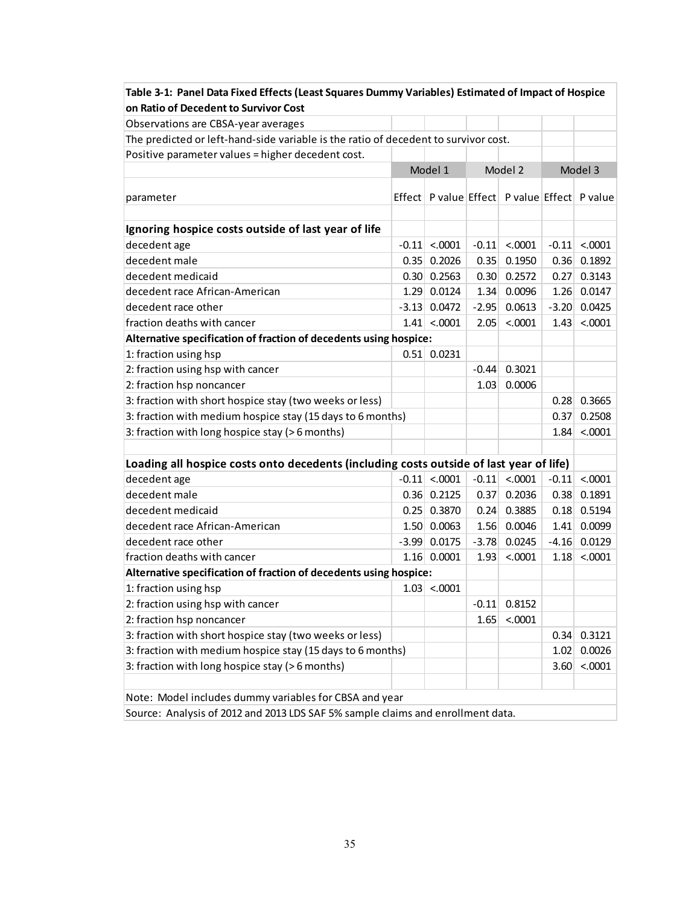| Table 3-1: Panel Data Fixed Effects (Least Squares Dummy Variables) Estimated of Impact of Hospice |  |                    |         |                                                        |         |                    |  |  |
|----------------------------------------------------------------------------------------------------|--|--------------------|---------|--------------------------------------------------------|---------|--------------------|--|--|
| on Ratio of Decedent to Survivor Cost                                                              |  |                    |         |                                                        |         |                    |  |  |
| Observations are CBSA-year averages                                                                |  |                    |         |                                                        |         |                    |  |  |
| The predicted or left-hand-side variable is the ratio of decedent to survivor cost.                |  |                    |         |                                                        |         |                    |  |  |
| Positive parameter values = higher decedent cost.                                                  |  |                    |         |                                                        |         |                    |  |  |
|                                                                                                    |  | Model 1            | Model 2 |                                                        | Model 3 |                    |  |  |
| parameter                                                                                          |  |                    |         | Effect   P value   Effect   P value   Effect   P value |         |                    |  |  |
|                                                                                                    |  |                    |         |                                                        |         |                    |  |  |
| Ignoring hospice costs outside of last year of life                                                |  |                    |         |                                                        |         |                    |  |  |
| decedent age                                                                                       |  | $-0.11 \le 0.0001$ | $-0.11$ | < .0001                                                |         | $-0.11 \le 0.0001$ |  |  |
| decedent male                                                                                      |  | $0.35$ 0.2026      | 0.35    | 0.1950                                                 | 0.36    | 0.1892             |  |  |
| decedent medicaid                                                                                  |  | $0.30 \mid 0.2563$ | 0.30    | 0.2572                                                 | 0.27    | 0.3143             |  |  |
| decedent race African-American                                                                     |  | 1.29 0.0124        | 1.34    | 0.0096                                                 | 1.26    | 0.0147             |  |  |
| decedent race other                                                                                |  | $-3.13$ 0.0472     | $-2.95$ | 0.0613                                                 | $-3.20$ | 0.0425             |  |  |
| fraction deaths with cancer                                                                        |  | $1.41 \times 0001$ | 2.05    | < .0001                                                | 1.43    | < .0001            |  |  |
| Alternative specification of fraction of decedents using hospice:                                  |  |                    |         |                                                        |         |                    |  |  |
| 1: fraction using hsp                                                                              |  | $0.51$ 0.0231      |         |                                                        |         |                    |  |  |
| 2: fraction using hsp with cancer                                                                  |  |                    | $-0.44$ | 0.3021                                                 |         |                    |  |  |
| 2: fraction hsp noncancer                                                                          |  |                    | 1.03    | 0.0006                                                 |         |                    |  |  |
| 3: fraction with short hospice stay (two weeks or less)                                            |  |                    |         |                                                        |         | $0.28 \, 0.3665$   |  |  |
| 3: fraction with medium hospice stay (15 days to 6 months)                                         |  |                    |         |                                                        | 0.37    | 0.2508             |  |  |
| 3: fraction with long hospice stay (>6 months)                                                     |  |                    |         |                                                        | 1.84    | < .0001            |  |  |
|                                                                                                    |  |                    |         |                                                        |         |                    |  |  |
| Loading all hospice costs onto decedents (including costs outside of last year of life)            |  |                    |         |                                                        |         |                    |  |  |
| decedent age                                                                                       |  | $-0.11$ < 0.0001   | $-0.11$ | < .0001                                                | $-0.11$ | < .0001            |  |  |
| decedent male                                                                                      |  | $0.36$ 0.2125      | 0.37    | 0.2036                                                 | 0.38    | 0.1891             |  |  |
| decedent medicaid                                                                                  |  | $0.25$ 0.3870      | 0.24    | 0.3885                                                 | 0.18    | 0.5194             |  |  |
| decedent race African-American                                                                     |  | 1.50   0.0063      | 1.56    | 0.0046                                                 | 1.41    | 0.0099             |  |  |
| decedent race other                                                                                |  | $-3.99$ 0.0175     | $-3.78$ | 0.0245                                                 | $-4.16$ | 0.0129             |  |  |
| fraction deaths with cancer                                                                        |  | $1.16$ 0.0001      | 1.93    | < .0001                                                | 1.18    | < .0001            |  |  |
| Alternative specification of fraction of decedents using hospice:                                  |  |                    |         |                                                        |         |                    |  |  |
| 1: fraction using hsp                                                                              |  | $1.03$ < 0001      |         |                                                        |         |                    |  |  |
| 2: fraction using hsp with cancer                                                                  |  |                    | $-0.11$ | 0.8152                                                 |         |                    |  |  |
| 2: fraction hsp noncancer                                                                          |  |                    | 1.65    | < .0001                                                |         |                    |  |  |
| 3: fraction with short hospice stay (two weeks or less)                                            |  |                    |         |                                                        | 0.34    | 0.3121             |  |  |
| 3: fraction with medium hospice stay (15 days to 6 months)                                         |  |                    |         |                                                        | 1.02    | 0.0026             |  |  |
| 3: fraction with long hospice stay (>6 months)                                                     |  |                    |         |                                                        | 3.60    | < .0001            |  |  |
|                                                                                                    |  |                    |         |                                                        |         |                    |  |  |
| Note: Model includes dummy variables for CBSA and year                                             |  |                    |         |                                                        |         |                    |  |  |
| Source: Analysis of 2012 and 2013 LDS SAF 5% sample claims and enrollment data.                    |  |                    |         |                                                        |         |                    |  |  |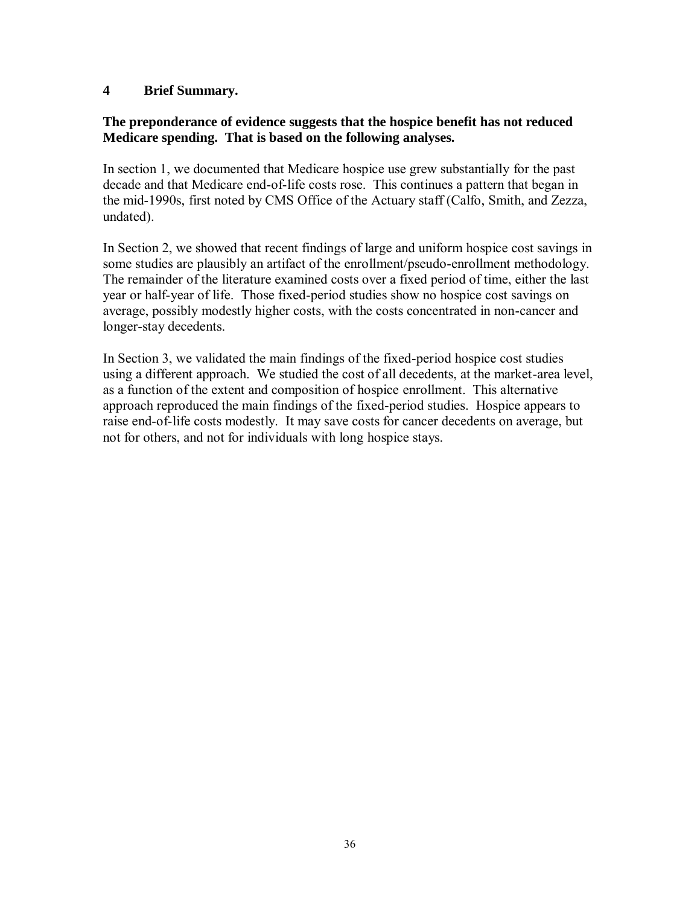#### **4 Brief Summary.**

#### **The preponderance of evidence suggests that the hospice benefit has not reduced Medicare spending. That is based on the following analyses.**

In section 1, we documented that Medicare hospice use grew substantially for the past decade and that Medicare end-of-life costs rose. This continues a pattern that began in the mid-1990s, first noted by CMS Office of the Actuary staff (Calfo, Smith, and Zezza, undated).

In Section 2, we showed that recent findings of large and uniform hospice cost savings in some studies are plausibly an artifact of the enrollment/pseudo-enrollment methodology. The remainder of the literature examined costs over a fixed period of time, either the last year or half-year of life. Those fixed-period studies show no hospice cost savings on average, possibly modestly higher costs, with the costs concentrated in non-cancer and longer-stay decedents.

In Section 3, we validated the main findings of the fixed-period hospice cost studies using a different approach. We studied the cost of all decedents, at the market-area level, as a function of the extent and composition of hospice enrollment. This alternative approach reproduced the main findings of the fixed-period studies. Hospice appears to raise end-of-life costs modestly. It may save costs for cancer decedents on average, but not for others, and not for individuals with long hospice stays.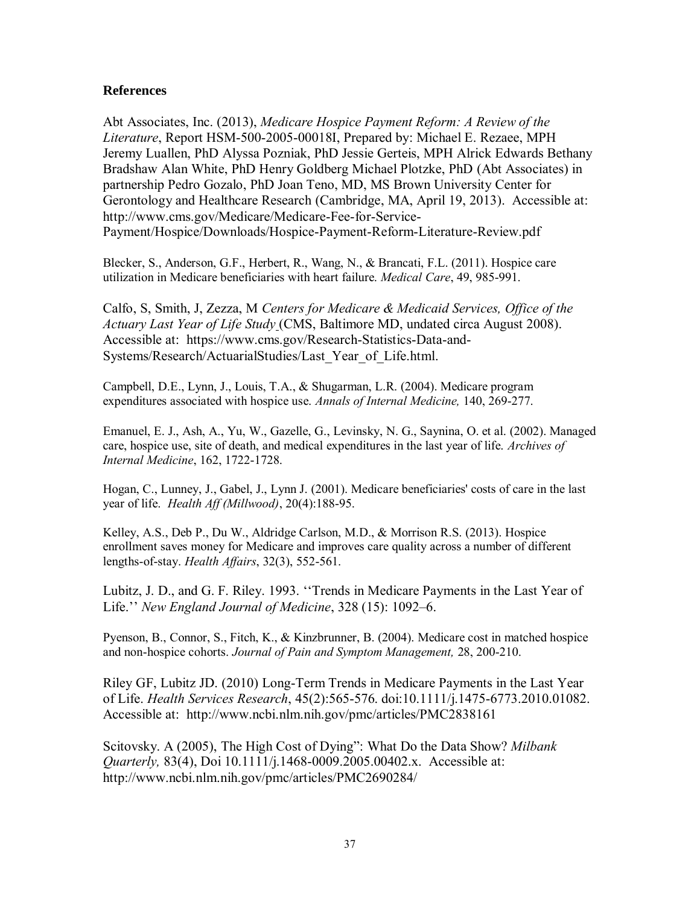#### **References**

Abt Associates, Inc. (2013), *Medicare Hospice Payment Reform: A Review of the Literature*, Report HSM-500-2005-00018I, Prepared by: Michael E. Rezaee, MPH Jeremy Luallen, PhD Alyssa Pozniak, PhD Jessie Gerteis, MPH Alrick Edwards Bethany Bradshaw Alan White, PhD Henry Goldberg Michael Plotzke, PhD (Abt Associates) in partnership Pedro Gozalo, PhD Joan Teno, MD, MS Brown University Center for Gerontology and Healthcare Research (Cambridge, MA, April 19, 2013). Accessible at: http://www.cms.gov/Medicare/Medicare-Fee-for-Service-Payment/Hospice/Downloads/Hospice-Payment-Reform-Literature-Review.pdf

Blecker, S., Anderson, G.F., Herbert, R., Wang, N., & Brancati, F.L. (2011). Hospice care utilization in Medicare beneficiaries with heart failure. *Medical Care*, 49, 985-991.

Calfo, S, Smith, J, Zezza, M *Centers for Medicare & Medicaid Services, Office of the Actuary Last Year of Life Study* (CMS, Baltimore MD, undated circa August 2008). Accessible at: https://www.cms.gov/Research-Statistics-Data-and-Systems/Research/ActuarialStudies/Last\_Year\_of\_Life.html.

Campbell, D.E., Lynn, J., Louis, T.A., & Shugarman, L.R. (2004). Medicare program expenditures associated with hospice use. *Annals of Internal Medicine,* 140, 269-277.

Emanuel, E. J., Ash, A., Yu, W., Gazelle, G., Levinsky, N. G., Saynina, O. et al. (2002). Managed care, hospice use, site of death, and medical expenditures in the last year of life. *Archives of Internal Medicine*, 162, 1722-1728.

Hogan, C., Lunney, J., Gabel, J., Lynn J. (2001). Medicare beneficiaries' costs of care in the last year of life. *Health Aff (Millwood)*, 20(4):188-95.

Kelley, A.S., Deb P., Du W., Aldridge Carlson, M.D., & Morrison R.S. (2013). Hospice enrollment saves money for Medicare and improves care quality across a number of different lengths-of-stay. *Health Affairs*, 32(3), 552-561.

Lubitz, J. D., and G. F. Riley. 1993. ''Trends in Medicare Payments in the Last Year of Life.'' *New England Journal of Medicine*, 328 (15): 1092–6.

Pyenson, B., Connor, S., Fitch, K., & Kinzbrunner, B. (2004). Medicare cost in matched hospice and non-hospice cohorts. *Journal of Pain and Symptom Management,* 28, 200-210.

Riley GF, Lubitz JD. (2010) Long-Term Trends in Medicare Payments in the Last Year of Life. *Health Services Research*, 45(2):565-576. doi:10.1111/j.1475-6773.2010.01082. Accessible at: http://www.ncbi.nlm.nih.gov/pmc/articles/PMC2838161

Scitovsky. A (2005), The High Cost of Dying": What Do the Data Show? *Milbank Quarterly,* 83(4), Doi 10.1111/j.1468-0009.2005.00402.x. Accessible at: http://www.ncbi.nlm.nih.gov/pmc/articles/PMC2690284/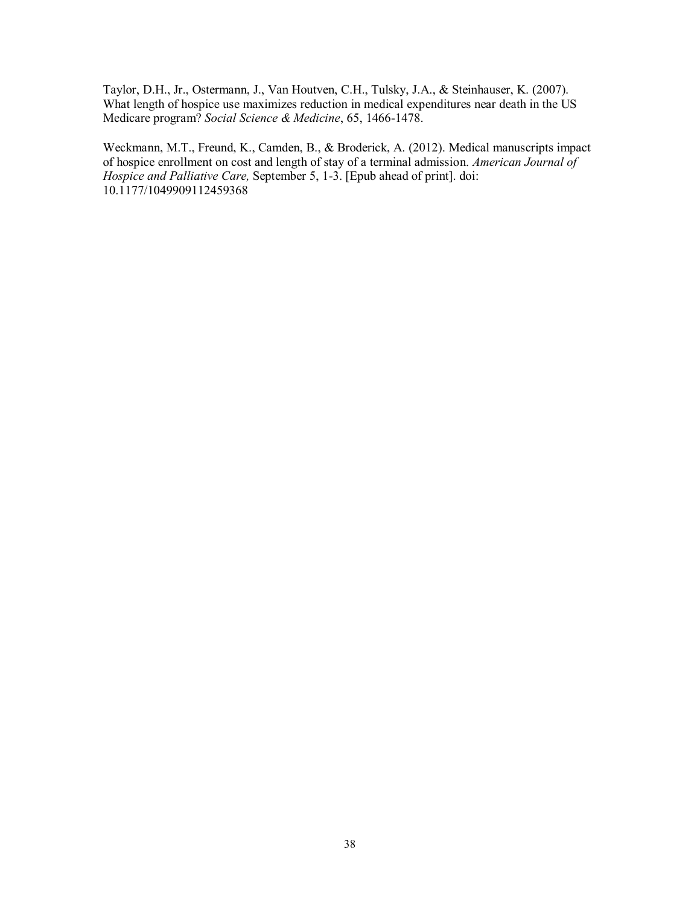Taylor, D.H., Jr., Ostermann, J., Van Houtven, C.H., Tulsky, J.A., & Steinhauser, K. (2007). What length of hospice use maximizes reduction in medical expenditures near death in the US Medicare program? *Social Science & Medicine*, 65, 1466-1478.

Weckmann, M.T., Freund, K., Camden, B., & Broderick, A. (2012). Medical manuscripts impact of hospice enrollment on cost and length of stay of a terminal admission. *American Journal of Hospice and Palliative Care, September 5, 1-3.* [Epub ahead of print]. doi: 10.1177/1049909112459368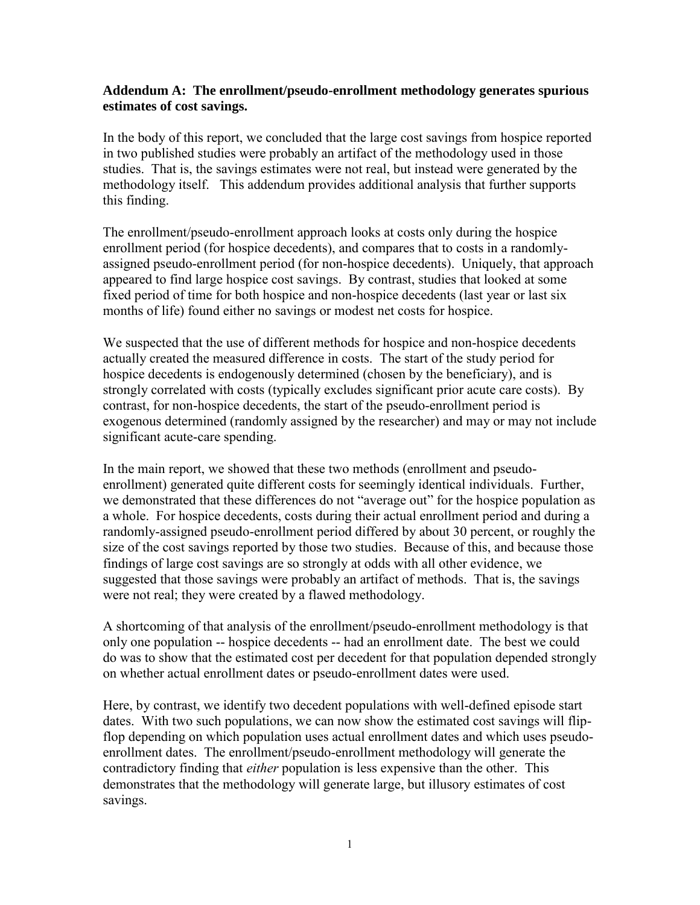#### **Addendum A: The enrollment/pseudo-enrollment methodology generates spurious estimates of cost savings.**

In the body of this report, we concluded that the large cost savings from hospice reported in two published studies were probably an artifact of the methodology used in those studies. That is, the savings estimates were not real, but instead were generated by the methodology itself. This addendum provides additional analysis that further supports this finding.

The enrollment/pseudo-enrollment approach looks at costs only during the hospice enrollment period (for hospice decedents), and compares that to costs in a randomlyassigned pseudo-enrollment period (for non-hospice decedents). Uniquely, that approach appeared to find large hospice cost savings. By contrast, studies that looked at some fixed period of time for both hospice and non-hospice decedents (last year or last six months of life) found either no savings or modest net costs for hospice.

We suspected that the use of different methods for hospice and non-hospice decedents actually created the measured difference in costs. The start of the study period for hospice decedents is endogenously determined (chosen by the beneficiary), and is strongly correlated with costs (typically excludes significant prior acute care costs). By contrast, for non-hospice decedents, the start of the pseudo-enrollment period is exogenous determined (randomly assigned by the researcher) and may or may not include significant acute-care spending.

In the main report, we showed that these two methods (enrollment and pseudoenrollment) generated quite different costs for seemingly identical individuals. Further, we demonstrated that these differences do not "average out" for the hospice population as a whole. For hospice decedents, costs during their actual enrollment period and during a randomly-assigned pseudo-enrollment period differed by about 30 percent, or roughly the size of the cost savings reported by those two studies. Because of this, and because those findings of large cost savings are so strongly at odds with all other evidence, we suggested that those savings were probably an artifact of methods. That is, the savings were not real; they were created by a flawed methodology.

A shortcoming of that analysis of the enrollment/pseudo-enrollment methodology is that only one population -- hospice decedents -- had an enrollment date. The best we could do was to show that the estimated cost per decedent for that population depended strongly on whether actual enrollment dates or pseudo-enrollment dates were used.

Here, by contrast, we identify two decedent populations with well-defined episode start dates. With two such populations, we can now show the estimated cost savings will flipflop depending on which population uses actual enrollment dates and which uses pseudoenrollment dates. The enrollment/pseudo-enrollment methodology will generate the contradictory finding that *either* population is less expensive than the other. This demonstrates that the methodology will generate large, but illusory estimates of cost savings.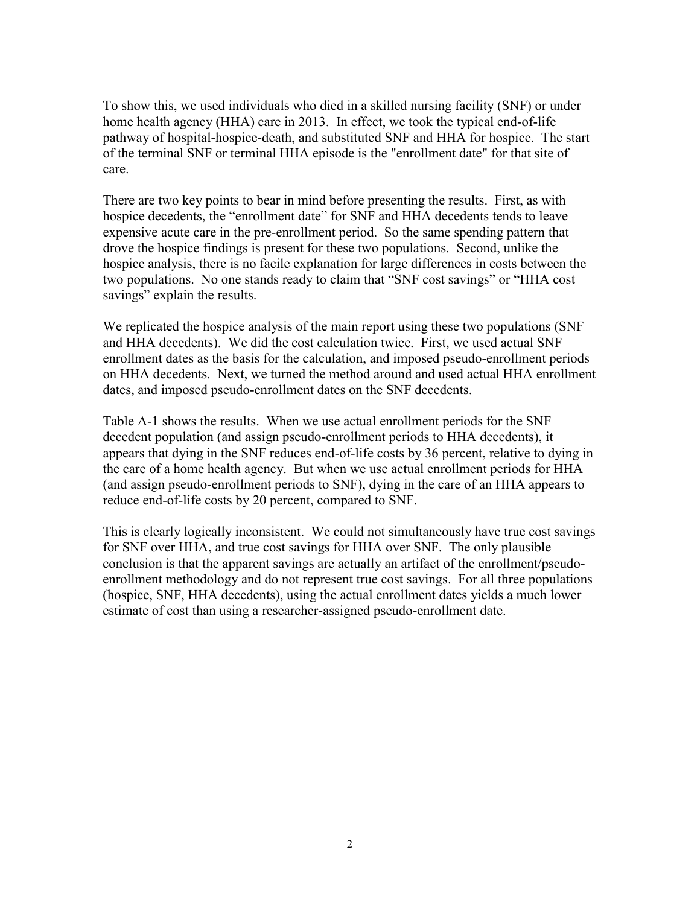To show this, we used individuals who died in a skilled nursing facility (SNF) or under home health agency (HHA) care in 2013. In effect, we took the typical end-of-life pathway of hospital-hospice-death, and substituted SNF and HHA for hospice. The start of the terminal SNF or terminal HHA episode is the "enrollment date" for that site of care.

There are two key points to bear in mind before presenting the results. First, as with hospice decedents, the "enrollment date" for SNF and HHA decedents tends to leave expensive acute care in the pre-enrollment period. So the same spending pattern that drove the hospice findings is present for these two populations. Second, unlike the hospice analysis, there is no facile explanation for large differences in costs between the two populations. No one stands ready to claim that "SNF cost savings" or "HHA cost savings" explain the results.

We replicated the hospice analysis of the main report using these two populations (SNF and HHA decedents). We did the cost calculation twice. First, we used actual SNF enrollment dates as the basis for the calculation, and imposed pseudo-enrollment periods on HHA decedents. Next, we turned the method around and used actual HHA enrollment dates, and imposed pseudo-enrollment dates on the SNF decedents.

Table A-1 shows the results. When we use actual enrollment periods for the SNF decedent population (and assign pseudo-enrollment periods to HHA decedents), it appears that dying in the SNF reduces end-of-life costs by 36 percent, relative to dying in the care of a home health agency. But when we use actual enrollment periods for HHA (and assign pseudo-enrollment periods to SNF), dying in the care of an HHA appears to reduce end-of-life costs by 20 percent, compared to SNF.

This is clearly logically inconsistent. We could not simultaneously have true cost savings for SNF over HHA, and true cost savings for HHA over SNF. The only plausible conclusion is that the apparent savings are actually an artifact of the enrollment/pseudoenrollment methodology and do not represent true cost savings. For all three populations (hospice, SNF, HHA decedents), using the actual enrollment dates yields a much lower estimate of cost than using a researcher-assigned pseudo-enrollment date.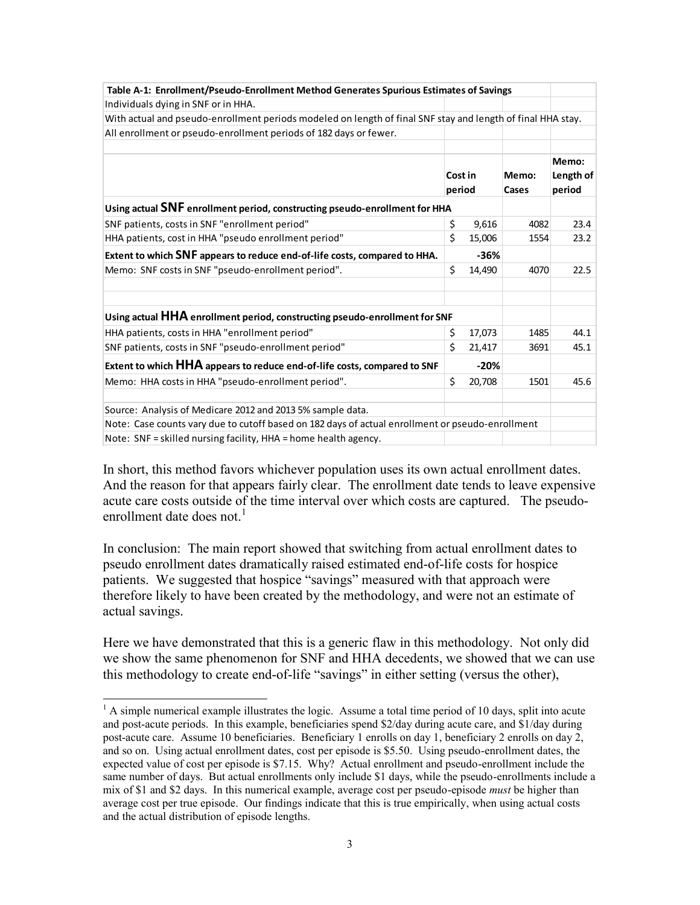| Table A-1: Enrollment/Pseudo-Enrollment Method Generates Spurious Estimates of Savings                      |         |        |       |        |  |  |
|-------------------------------------------------------------------------------------------------------------|---------|--------|-------|--------|--|--|
| Individuals dying in SNF or in HHA.                                                                         |         |        |       |        |  |  |
| With actual and pseudo-enrollment periods modeled on length of final SNF stay and length of final HHA stay. |         |        |       |        |  |  |
| All enrollment or pseudo-enrollment periods of 182 days or fewer.                                           |         |        |       |        |  |  |
|                                                                                                             |         |        |       |        |  |  |
|                                                                                                             |         |        |       | Memo:  |  |  |
|                                                                                                             | Cost in |        |       |        |  |  |
|                                                                                                             | period  |        | Cases | period |  |  |
| Using actual SNF enrollment period, constructing pseudo-enrollment for HHA                                  |         |        |       |        |  |  |
| SNF patients, costs in SNF "enrollment period"                                                              | \$      | 9,616  | 4082  | 23.4   |  |  |
| HHA patients, cost in HHA "pseudo enrollment period"                                                        | \$      | 15,006 | 1554  | 23.2   |  |  |
| Extent to which SNF appears to reduce end-of-life costs, compared to HHA.                                   |         | $-36%$ |       |        |  |  |
| Memo: SNF costs in SNF "pseudo-enrollment period".                                                          | \$      | 14,490 | 4070  | 22.5   |  |  |
|                                                                                                             |         |        |       |        |  |  |
|                                                                                                             |         |        |       |        |  |  |
| Using actual HHA enrollment period, constructing pseudo-enrollment for SNF                                  |         |        |       |        |  |  |
| HHA patients, costs in HHA "enrollment period"                                                              | \$      | 17,073 | 1485  | 44.1   |  |  |
| SNF patients, costs in SNF "pseudo-enrollment period"                                                       | \$      | 21,417 | 3691  | 45.1   |  |  |
| Extent to which HHA appears to reduce end-of-life costs, compared to SNF                                    |         | $-20%$ |       |        |  |  |
| Memo: HHA costs in HHA "pseudo-enrollment period".                                                          | Ś.      | 20,708 | 1501  | 45.6   |  |  |
|                                                                                                             |         |        |       |        |  |  |
| Source: Analysis of Medicare 2012 and 2013 5% sample data.                                                  |         |        |       |        |  |  |
| Note: Case counts vary due to cutoff based on 182 days of actual enrollment or pseudo-enrollment            |         |        |       |        |  |  |
| Note: SNF = skilled nursing facility, HHA = home health agency.                                             |         |        |       |        |  |  |

In short, this method favors whichever population uses its own actual enrollment dates. And the reason for that appears fairly clear. The enrollment date tends to leave expensive acute care costs outside of the time interval over which costs are captured. The pseudoenrollment date does not. $<sup>1</sup>$ </sup>

In conclusion: The main report showed that switching from actual enrollment dates to pseudo enrollment dates dramatically raised estimated end-of-life costs for hospice patients. We suggested that hospice "savings" measured with that approach were therefore likely to have been created by the methodology, and were not an estimate of actual savings.

Here we have demonstrated that this is a generic flaw in this methodology. Not only did we show the same phenomenon for SNF and HHA decedents, we showed that we can use this methodology to create end-of-life "savings" in either setting (versus the other),

 $\overline{a}$ 

 $<sup>1</sup>$  A simple numerical example illustrates the logic. Assume a total time period of 10 days, split into acute</sup> and post-acute periods. In this example, beneficiaries spend \$2/day during acute care, and \$1/day during post-acute care. Assume 10 beneficiaries. Beneficiary 1 enrolls on day 1, beneficiary 2 enrolls on day 2, and so on. Using actual enrollment dates, cost per episode is \$5.50. Using pseudo-enrollment dates, the expected value of cost per episode is \$7.15. Why? Actual enrollment and pseudo-enrollment include the same number of days. But actual enrollments only include \$1 days, while the pseudo-enrollments include a mix of \$1 and \$2 days. In this numerical example, average cost per pseudo-episode *must* be higher than average cost per true episode. Our findings indicate that this is true empirically, when using actual costs and the actual distribution of episode lengths.